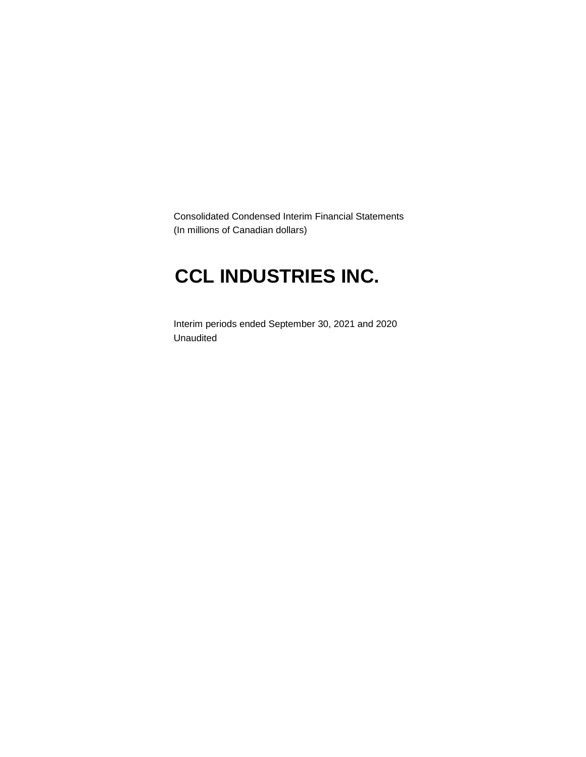Consolidated Condensed Interim Financial Statements (In millions of Canadian dollars)

# **CCL INDUSTRIES INC.**

Interim periods ended September 30, 2021 and 2020 Unaudited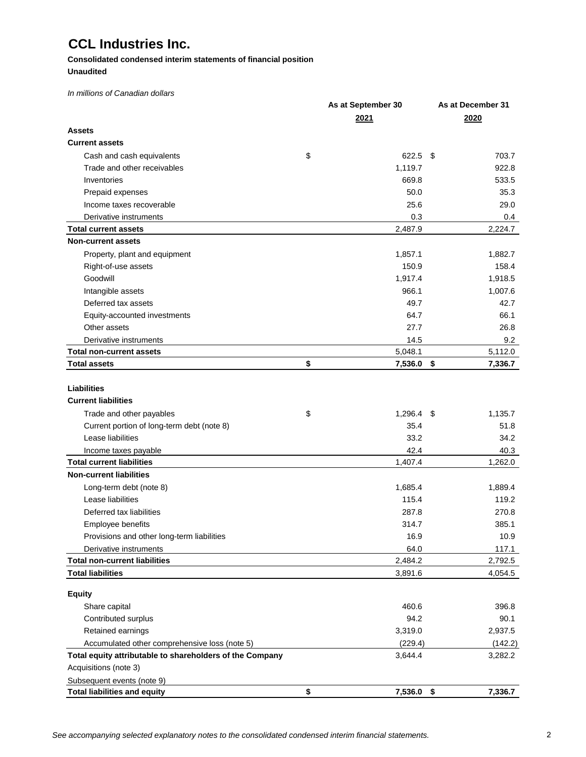### **Consolidated condensed interim statements of financial position Unaudited**

*In millions of Canadian dollars*

|                                                                              | As at September 30 | As at December 31 |
|------------------------------------------------------------------------------|--------------------|-------------------|
|                                                                              | 2021               | 2020              |
| Assets                                                                       |                    |                   |
| <b>Current assets</b>                                                        |                    |                   |
| Cash and cash equivalents                                                    | \$<br>622.5 \$     | 703.7             |
| Trade and other receivables                                                  | 1,119.7            | 922.8             |
| Inventories                                                                  | 669.8              | 533.5             |
| Prepaid expenses                                                             | 50.0               | 35.3              |
| Income taxes recoverable                                                     | 25.6               | 29.0              |
| Derivative instruments                                                       | 0.3                | 0.4               |
| <b>Total current assets</b>                                                  | 2,487.9            | 2,224.7           |
| <b>Non-current assets</b>                                                    |                    |                   |
| Property, plant and equipment                                                | 1,857.1            | 1,882.7           |
| Right-of-use assets                                                          | 150.9              | 158.4             |
| Goodwill                                                                     | 1,917.4            | 1,918.5           |
| Intangible assets                                                            | 966.1              | 1,007.6           |
| Deferred tax assets                                                          | 49.7               | 42.7              |
| Equity-accounted investments                                                 | 64.7               | 66.1              |
| Other assets                                                                 | 27.7               | 26.8              |
| Derivative instruments                                                       | 14.5               | 9.2               |
| <b>Total non-current assets</b>                                              | 5,048.1            | 5,112.0           |
| <b>Total assets</b>                                                          | \$<br>7,536.0 \$   | 7,336.7           |
| <b>Liabilities</b><br><b>Current liabilities</b><br>Trade and other payables | \$<br>$1,296.4$ \$ | 1,135.7           |
| Current portion of long-term debt (note 8)                                   | 35.4               | 51.8              |
| Lease liabilities                                                            | 33.2               | 34.2              |
| Income taxes payable                                                         | 42.4               | 40.3              |
| <b>Total current liabilities</b>                                             | 1,407.4            | 1,262.0           |
| <b>Non-current liabilities</b>                                               |                    |                   |
| Long-term debt (note 8)                                                      | 1,685.4            | 1,889.4           |
| Lease liabilities                                                            | 115.4              | 119.2             |
| Deferred tax liabilities                                                     | 287.8              | 270.8             |
| Employee benefits                                                            | 314.7              | 385.1             |
| Provisions and other long-term liabilities                                   | 16.9               | 10.9              |
| Derivative instruments                                                       | 64.0               | 117.1             |
| <b>Total non-current liabilities</b>                                         | 2,484.2            | 2,792.5           |
| <b>Total liabilities</b>                                                     | 3,891.6            | 4,054.5           |
| <b>Equity</b>                                                                |                    |                   |
| Share capital                                                                | 460.6              | 396.8             |
| Contributed surplus                                                          | 94.2               | 90.1              |
| Retained earnings                                                            | 3,319.0            | 2,937.5           |
| Accumulated other comprehensive loss (note 5)                                | (229.4)            | (142.2)           |
| Total equity attributable to shareholders of the Company                     | 3,644.4            | 3,282.2           |
| Acquisitions (note 3)                                                        |                    |                   |
| Subsequent events (note 9)                                                   |                    |                   |
| <b>Total liabilities and equity</b>                                          | \$<br>7,536.0 \$   | 7,336.7           |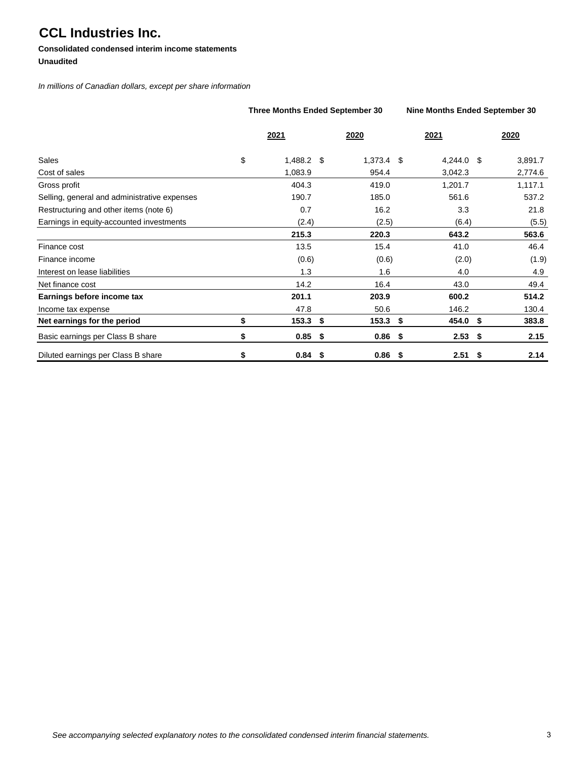### **Consolidated condensed interim income statements Unaudited**

*In millions of Canadian dollars, except per share information*

|                                              | <b>Three Months Ended September 30</b> |      |              | Nine Months Ended September 30 |         |
|----------------------------------------------|----------------------------------------|------|--------------|--------------------------------|---------|
|                                              | 2021                                   |      | 2020         | 2021                           | 2020    |
| Sales                                        | \$<br>1,488.2 \$                       |      | $1,373.4$ \$ | 4,244.0 \$                     | 3,891.7 |
| Cost of sales                                | 1,083.9                                |      | 954.4        | 3,042.3                        | 2,774.6 |
| Gross profit                                 | 404.3                                  |      | 419.0        | 1,201.7                        | 1,117.1 |
| Selling, general and administrative expenses | 190.7                                  |      | 185.0        | 561.6                          | 537.2   |
| Restructuring and other items (note 6)       | 0.7                                    |      | 16.2         | 3.3                            | 21.8    |
| Earnings in equity-accounted investments     | (2.4)                                  |      | (2.5)        | (6.4)                          | (5.5)   |
|                                              | 215.3                                  |      | 220.3        | 643.2                          | 563.6   |
| Finance cost                                 | 13.5                                   |      | 15.4         | 41.0                           | 46.4    |
| Finance income                               | (0.6)                                  |      | (0.6)        | (2.0)                          | (1.9)   |
| Interest on lease liabilities                | 1.3                                    |      | 1.6          | 4.0                            | 4.9     |
| Net finance cost                             | 14.2                                   |      | 16.4         | 43.0                           | 49.4    |
| Earnings before income tax                   | 201.1                                  |      | 203.9        | 600.2                          | 514.2   |
| Income tax expense                           | 47.8                                   |      | 50.6         | 146.2                          | 130.4   |
| Net earnings for the period                  | \$<br>$153.3$ \$                       |      | $153.3$ \$   | 454.0 \$                       | 383.8   |
| Basic earnings per Class B share             | \$<br>0.85                             | - \$ | $0.86$ \$    | $2.53$ \$                      | 2.15    |
| Diluted earnings per Class B share           | \$<br>$0.84$ \$                        |      | $0.86$ \$    | $2.51$ \$                      | 2.14    |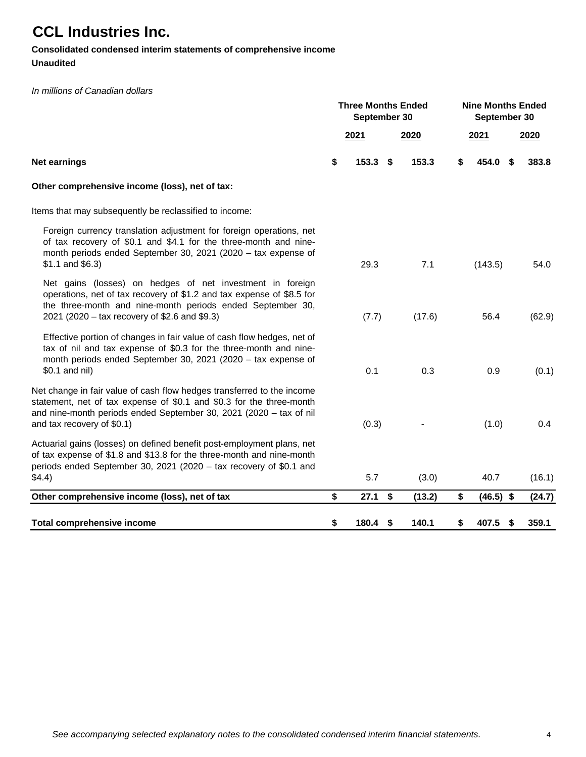## **Consolidated condensed interim statements of comprehensive income**

### **Unaudited**

### *In millions of Canadian dollars*

|                                                                                                                                                                                                                                                    | <b>Three Months Ended</b><br>September 30 |      |        | <b>Nine Months Ended</b><br>September 30 |             |    |        |  |  |
|----------------------------------------------------------------------------------------------------------------------------------------------------------------------------------------------------------------------------------------------------|-------------------------------------------|------|--------|------------------------------------------|-------------|----|--------|--|--|
|                                                                                                                                                                                                                                                    | 2021                                      |      | 2020   |                                          | 2021        |    | 2020   |  |  |
| <b>Net earnings</b>                                                                                                                                                                                                                                | \$<br>153.3                               | -\$  | 153.3  | \$                                       | 454.0       | \$ | 383.8  |  |  |
| Other comprehensive income (loss), net of tax:                                                                                                                                                                                                     |                                           |      |        |                                          |             |    |        |  |  |
| Items that may subsequently be reclassified to income:                                                                                                                                                                                             |                                           |      |        |                                          |             |    |        |  |  |
| Foreign currency translation adjustment for foreign operations, net<br>of tax recovery of \$0.1 and \$4.1 for the three-month and nine-<br>month periods ended September 30, 2021 (2020 - tax expense of<br>$$1.1$ and $$6.3$ )                    | 29.3                                      |      | 7.1    |                                          | (143.5)     |    | 54.0   |  |  |
| Net gains (losses) on hedges of net investment in foreign<br>operations, net of tax recovery of \$1.2 and tax expense of \$8.5 for<br>the three-month and nine-month periods ended September 30,<br>2021 (2020 – tax recovery of \$2.6 and \$9.3)  | (7.7)                                     |      | (17.6) |                                          | 56.4        |    | (62.9) |  |  |
| Effective portion of changes in fair value of cash flow hedges, net of<br>tax of nil and tax expense of \$0.3 for the three-month and nine-<br>month periods ended September 30, 2021 (2020 - tax expense of<br>\$0.1 and nil)                     | 0.1                                       |      | 0.3    |                                          | 0.9         |    | (0.1)  |  |  |
| Net change in fair value of cash flow hedges transferred to the income<br>statement, net of tax expense of \$0.1 and \$0.3 for the three-month<br>and nine-month periods ended September 30, 2021 (2020 - tax of nil<br>and tax recovery of \$0.1) | (0.3)                                     |      |        |                                          | (1.0)       |    | 0.4    |  |  |
| Actuarial gains (losses) on defined benefit post-employment plans, net<br>of tax expense of \$1.8 and \$13.8 for the three-month and nine-month<br>periods ended September 30, 2021 (2020 - tax recovery of \$0.1 and<br>\$4.4)                    | 5.7                                       |      | (3.0)  |                                          | 40.7        |    | (16.1) |  |  |
| Other comprehensive income (loss), net of tax                                                                                                                                                                                                      | \$<br>27.1                                | - \$ | (13.2) | \$                                       | $(46.5)$ \$ |    | (24.7) |  |  |
| Total comprehensive income                                                                                                                                                                                                                         | \$<br>180.4                               | -\$  | 140.1  | \$                                       | 407.5       | \$ | 359.1  |  |  |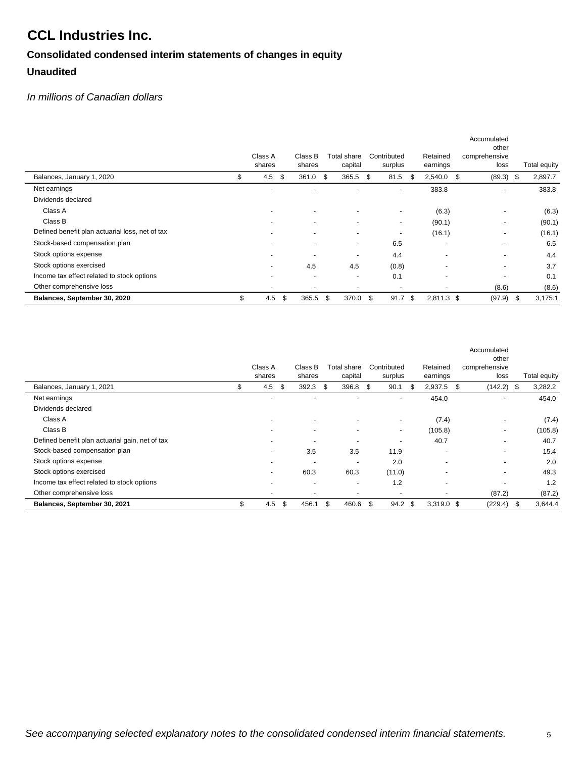# **Consolidated condensed interim statements of changes in equity Unaudited**

### *In millions of Canadian dollars*

|                                                 |                          |                          |                          |                          |                          | Accumulated<br>other     |                 |
|-------------------------------------------------|--------------------------|--------------------------|--------------------------|--------------------------|--------------------------|--------------------------|-----------------|
|                                                 | Class A                  | Class B                  | Total share              | Contributed              | Retained                 | comprehensive            |                 |
|                                                 | shares                   | shares                   | capital                  | surplus                  | earnings                 | loss                     | Total equity    |
| Balances, January 1, 2020                       | \$<br>4.5<br>- \$        | 361.0 \$                 | $365.5$ \$               | 81.5                     | 2,540.0<br>S             | \$<br>$(89.3)$ \$        | 2,897.7         |
| Net earnings                                    |                          |                          |                          | $\overline{\phantom{a}}$ | 383.8                    | $\overline{\phantom{0}}$ | 383.8           |
| Dividends declared                              |                          |                          |                          |                          |                          |                          |                 |
| Class A                                         |                          |                          |                          | $\overline{\phantom{a}}$ | (6.3)                    |                          | (6.3)           |
| Class B                                         |                          |                          |                          | $\blacksquare$           | (90.1)                   | ٠                        | (90.1)          |
| Defined benefit plan actuarial loss, net of tax | $\overline{\phantom{a}}$ | -                        | $\overline{\phantom{a}}$ | $\overline{\phantom{a}}$ | (16.1)                   | ٠                        | (16.1)          |
| Stock-based compensation plan                   | $\overline{\phantom{0}}$ | $\overline{\phantom{a}}$ | $\overline{\phantom{a}}$ | 6.5                      | $\overline{\phantom{a}}$ | $\overline{\phantom{0}}$ | 6.5             |
| Stock options expense                           | $\overline{\phantom{a}}$ |                          | $\overline{\phantom{a}}$ | 4.4                      |                          |                          | 4.4             |
| Stock options exercised                         |                          | 4.5                      | 4.5                      | (0.8)                    | $\overline{\phantom{0}}$ | $\overline{\phantom{0}}$ | 3.7             |
| Income tax effect related to stock options      |                          | $\overline{\phantom{a}}$ | $\overline{\phantom{a}}$ | 0.1                      | $\overline{\phantom{0}}$ |                          | 0.1             |
| Other comprehensive loss                        | $\overline{a}$           | $\overline{\phantom{a}}$ | $\overline{\phantom{a}}$ |                          |                          | (8.6)                    | (8.6)           |
| Balances, September 30, 2020                    | \$<br>4.5                | \$<br>365.5              | \$<br>370.0 \$           | $91.7$ \$                | $2,811.3$ \$             | (97.9)                   | 3,175.1<br>- \$ |

|                                                 | Class A<br>shares        | Class B<br>shares        | Total share<br>capital   | Contributed<br>surplus   | Retained<br>earnings     | Accumulated<br>other<br>comprehensive<br>loss | Total equity |
|-------------------------------------------------|--------------------------|--------------------------|--------------------------|--------------------------|--------------------------|-----------------------------------------------|--------------|
| Balances, January 1, 2021                       | \$<br>4.5<br>-\$         | $392.3$ \$               | 396.8                    | -\$<br>90.1              | 2,937.5<br>\$.           | \$<br>$(142.2)$ \$                            | 3,282.2      |
| Net earnings                                    |                          |                          |                          | $\overline{\phantom{a}}$ | 454.0                    |                                               | 454.0        |
| Dividends declared                              |                          |                          |                          |                          |                          |                                               |              |
| Class A                                         | $\overline{\phantom{a}}$ | $\blacksquare$           | $\overline{\phantom{a}}$ | ٠                        | (7.4)                    | $\overline{\phantom{a}}$                      | (7.4)        |
| Class B                                         | ۰                        | $\overline{\phantom{a}}$ | $\overline{\phantom{a}}$ | ٠                        | (105.8)                  | $\overline{\phantom{a}}$                      | (105.8)      |
| Defined benefit plan actuarial gain, net of tax | $\overline{\phantom{a}}$ | $\overline{\phantom{a}}$ | $\overline{\phantom{a}}$ | $\overline{\phantom{a}}$ | 40.7                     |                                               | 40.7         |
| Stock-based compensation plan                   | $\overline{\phantom{a}}$ | 3.5                      | 3.5                      | 11.9                     | $\overline{\phantom{a}}$ | $\overline{\phantom{a}}$                      | 15.4         |
| Stock options expense                           | $\overline{\phantom{a}}$ | $\overline{\phantom{a}}$ | $\overline{\phantom{a}}$ | 2.0                      | $\overline{\phantom{a}}$ |                                               | 2.0          |
| Stock options exercised                         | ۰                        | 60.3                     | 60.3                     | (11.0)                   | $\overline{\phantom{a}}$ | $\overline{\phantom{a}}$                      | 49.3         |
| Income tax effect related to stock options      | $\overline{\phantom{a}}$ | $\overline{\phantom{a}}$ | $\overline{\phantom{a}}$ | 1.2                      | $\overline{\phantom{a}}$ |                                               | 1.2          |
| Other comprehensive loss                        | $\overline{\phantom{a}}$ | $\overline{\phantom{a}}$ | ۰                        | $\overline{\phantom{0}}$ |                          | (87.2)                                        | (87.2)       |
| Balances, September 30, 2021                    | \$<br>4.5                | \$<br>456.1              | \$<br>460.6              | \$<br>$94.2$ \$          | $3.319.0$ \$             | $(229.4)$ \$                                  | 3,644.4      |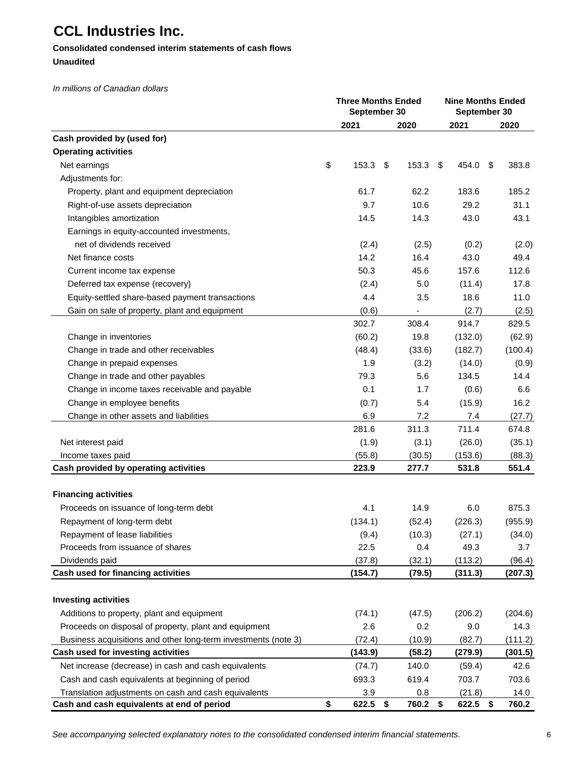### **Consolidated condensed interim statements of cash flows Unaudited**

*In millions of Canadian dollars*

|                                                                                                          | <b>Three Months Ended</b><br>September 30 | <b>Nine Months Ended</b><br>September 30 |      |                    |               |
|----------------------------------------------------------------------------------------------------------|-------------------------------------------|------------------------------------------|------|--------------------|---------------|
|                                                                                                          | 2021                                      | 2020                                     |      | 2021               | 2020          |
| Cash provided by (used for)                                                                              |                                           |                                          |      |                    |               |
| <b>Operating activities</b>                                                                              |                                           |                                          |      |                    |               |
| Net earnings                                                                                             | \$<br>153.3                               | \$<br>153.3                              | - \$ | 454.0              | \$<br>383.8   |
| Adjustments for:                                                                                         |                                           |                                          |      |                    |               |
| Property, plant and equipment depreciation                                                               | 61.7                                      | 62.2                                     |      | 183.6              | 185.2         |
| Right-of-use assets depreciation                                                                         | 9.7                                       | 10.6                                     |      | 29.2               | 31.1          |
| Intangibles amortization                                                                                 | 14.5                                      | 14.3                                     |      | 43.0               | 43.1          |
| Earnings in equity-accounted investments,                                                                |                                           |                                          |      |                    |               |
| net of dividends received                                                                                | (2.4)                                     | (2.5)                                    |      | (0.2)              | (2.0)         |
| Net finance costs                                                                                        | 14.2                                      | 16.4                                     |      | 43.0               | 49.4          |
| Current income tax expense                                                                               | 50.3                                      | 45.6                                     |      | 157.6              | 112.6         |
| Deferred tax expense (recovery)                                                                          | (2.4)                                     | 5.0                                      |      | (11.4)             | 17.8          |
| Equity-settled share-based payment transactions                                                          | 4.4                                       | 3.5                                      |      | 18.6               | 11.0          |
| Gain on sale of property, plant and equipment                                                            | (0.6)                                     |                                          |      | (2.7)              | (2.5)         |
|                                                                                                          | 302.7                                     | 308.4                                    |      | 914.7              | 829.5         |
| Change in inventories                                                                                    | (60.2)                                    | 19.8                                     |      | (132.0)            | (62.9)        |
| Change in trade and other receivables                                                                    | (48.4)                                    | (33.6)                                   |      | (182.7)            | (100.4)       |
| Change in prepaid expenses                                                                               | 1.9                                       | (3.2)                                    |      | (14.0)             | (0.9)         |
| Change in trade and other payables                                                                       | 79.3                                      | 5.6                                      |      | 134.5              | 14.4          |
| Change in income taxes receivable and payable                                                            | 0.1                                       | 1.7                                      |      | (0.6)              | 6.6           |
| Change in employee benefits                                                                              | (0.7)                                     | 5.4                                      |      | (15.9)             | 16.2          |
| Change in other assets and liabilities                                                                   | 6.9                                       | 7.2                                      |      | 7.4                | (27.7)        |
|                                                                                                          | 281.6                                     | 311.3                                    |      | 711.4              | 674.8         |
| Net interest paid                                                                                        | (1.9)                                     | (3.1)                                    |      | (26.0)             | (35.1)        |
| Income taxes paid                                                                                        | (55.8)                                    | (30.5)                                   |      | (153.6)            | (88.3)        |
| Cash provided by operating activities                                                                    | 223.9                                     | 277.7                                    |      | 531.8              | 551.4         |
| <b>Financing activities</b>                                                                              |                                           |                                          |      |                    |               |
| Proceeds on issuance of long-term debt                                                                   | 4.1                                       | 14.9                                     |      | 6.0                | 875.3         |
| Repayment of long-term debt                                                                              | (134.1)                                   | (52.4)                                   |      | (226.3)            | (955.9)       |
| Repayment of lease liabilities                                                                           | (9.4)                                     | (10.3)                                   |      | (27.1)             | (34.0)        |
| Proceeds from issuance of shares                                                                         | 22.5                                      | 0.4                                      |      | 49.3               | 3.7           |
| Dividends paid                                                                                           | (37.8)                                    | (32.1)                                   |      | (113.2)            | (96.4)        |
| Cash used for financing activities                                                                       | (154.7)                                   | (79.5)                                   |      | (311.3)            | (207.3)       |
| <b>Investing activities</b>                                                                              |                                           |                                          |      |                    |               |
| Additions to property, plant and equipment                                                               |                                           |                                          |      |                    |               |
|                                                                                                          | (74.1)                                    | (47.5)                                   |      | (206.2)            | (204.6)       |
| Proceeds on disposal of property, plant and equipment                                                    | 2.6                                       | 0.2                                      |      | 9.0                | 14.3          |
| Business acquisitions and other long-term investments (note 3)                                           | (72.4)                                    | (10.9)                                   |      | (82.7)             | (111.2)       |
| Cash used for investing activities                                                                       | (143.9)                                   | (58.2)                                   |      | (279.9)            | (301.5)       |
| Net increase (decrease) in cash and cash equivalents                                                     | (74.7)                                    | 140.0                                    |      | (59.4)             | 42.6          |
| Cash and cash equivalents at beginning of period<br>Translation adjustments on cash and cash equivalents | 693.3<br>3.9                              | 619.4<br>0.8                             |      | 703.7              | 703.6<br>14.0 |
| Cash and cash equivalents at end of period                                                               | \$<br>622.5 \$                            | 760.2 \$                                 |      | (21.8)<br>622.5 \$ | 760.2         |

*See accompanying selected explanatory notes to the consolidated condensed interim financial statements.*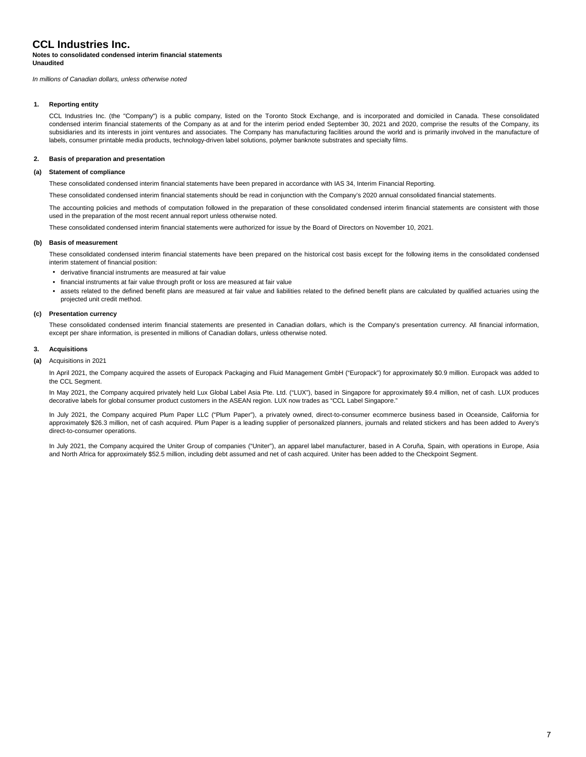#### **Notes to consolidated condensed interim financial statements Unaudited**

*In millions of Canadian dollars, unless otherwise noted*

#### **1. Reporting entity**

CCL Industries Inc. (the "Company") is a public company, listed on the Toronto Stock Exchange, and is incorporated and domiciled in Canada. These consolidated condensed interim financial statements of the Company as at and for the interim period ended September 30, 2021 and 2020, comprise the results of the Company, its subsidiaries and its interests in joint ventures and associates. The Company has manufacturing facilities around the world and is primarily involved in the manufacture of labels, consumer printable media products, technology-driven label solutions, polymer banknote substrates and specialty films.

#### **2. Basis of preparation and presentation**

#### **(a) Statement of compliance**

These consolidated condensed interim financial statements have been prepared in accordance with IAS 34, Interim Financial Reporting.

These consolidated condensed interim financial statements should be read in conjunction with the Company's 2020 annual consolidated financial statements.

The accounting policies and methods of computation followed in the preparation of these consolidated condensed interim financial statements are consistent with those used in the preparation of the most recent annual report unless otherwise noted.

These consolidated condensed interim financial statements were authorized for issue by the Board of Directors on November 10, 2021.

#### **(b) Basis of measurement**

These consolidated condensed interim financial statements have been prepared on the historical cost basis except for the following items in the consolidated condensed interim statement of financial position:

- **•** derivative financial instruments are measured at fair value
- **•** financial instruments at fair value through profit or loss are measured at fair value
- **•** assets related to the defined benefit plans are measured at fair value and liabilities related to the defined benefit plans are calculated by qualified actuaries using the projected unit credit method.

#### **(c) Presentation currency**

These consolidated condensed interim financial statements are presented in Canadian dollars, which is the Company's presentation currency. All financial information, except per share information, is presented in millions of Canadian dollars, unless otherwise noted.

#### **3. Acquisitions**

#### **(a)** Acquisitions in 2021

In April 2021, the Company acquired the assets of Europack Packaging and Fluid Management GmbH ("Europack") for approximately \$0.9 million. Europack was added to the CCL Segment.

In May 2021, the Company acquired privately held Lux Global Label Asia Pte. Ltd. ("LUX"), based in Singapore for approximately \$9.4 million, net of cash. LUX produces decorative labels for global consumer product customers in the ASEAN region. LUX now trades as "CCL Label Singapore."

In July 2021, the Company acquired Plum Paper LLC ("Plum Paper"), a privately owned, direct-to-consumer ecommerce business based in Oceanside, California for approximately \$26.3 million, net of cash acquired. Plum Paper is a leading supplier of personalized planners, journals and related stickers and has been added to Avery's direct-to-consumer operations.

In July 2021, the Company acquired the Uniter Group of companies ("Uniter"), an apparel label manufacturer, based in A Coruña, Spain, with operations in Europe, Asia and North Africa for approximately \$52.5 million, including debt assumed and net of cash acquired. Uniter has been added to the Checkpoint Segment.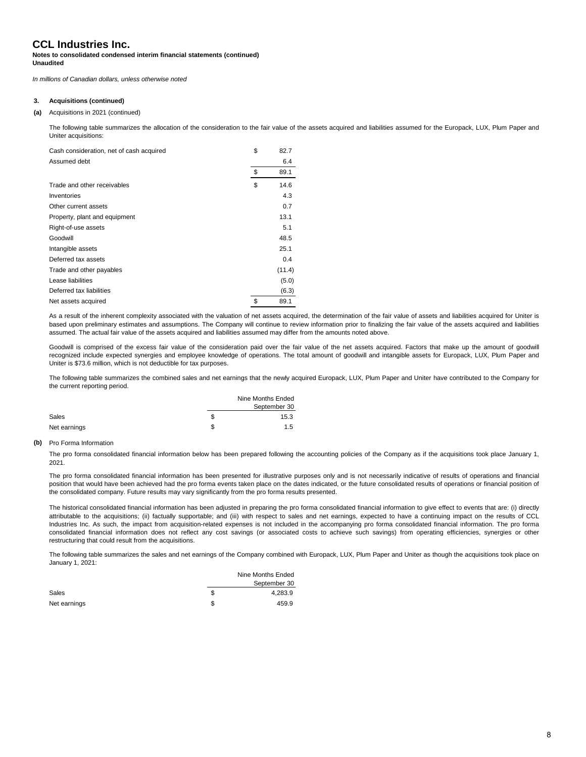#### **Notes to consolidated condensed interim financial statements (continued) Unaudited**

*In millions of Canadian dollars, unless otherwise noted*

#### **3. Acquisitions (continued)**

#### **(a)** Acquisitions in 2021 (continued)

The following table summarizes the allocation of the consideration to the fair value of the assets acquired and liabilities assumed for the Europack, LUX, Plum Paper and Uniter acquisitions:

| Cash consideration, net of cash acquired | \$<br>82.7 |
|------------------------------------------|------------|
| Assumed debt                             | 6.4        |
|                                          | \$<br>89.1 |
| Trade and other receivables              | \$<br>14.6 |
| Inventories                              | 4.3        |
| Other current assets                     | 0.7        |
| Property, plant and equipment            | 13.1       |
| Right-of-use assets                      | 5.1        |
| Goodwill                                 | 48.5       |
| Intangible assets                        | 25.1       |
| Deferred tax assets                      | 0.4        |
| Trade and other payables                 | (11.4)     |
| Lease liabilities                        | (5.0)      |
| Deferred tax liabilities                 | (6.3)      |
| Net assets acquired                      | \$<br>89.1 |
|                                          |            |

As a result of the inherent complexity associated with the valuation of net assets acquired, the determination of the fair value of assets and liabilities acquired for Uniter is based upon preliminary estimates and assumptions. The Company will continue to review information prior to finalizing the fair value of the assets acquired and liabilities assumed. The actual fair value of the assets acquired and liabilities assumed may differ from the amounts noted above.

Goodwill is comprised of the excess fair value of the consideration paid over the fair value of the net assets acquired. Factors that make up the amount of goodwill recognized include expected synergies and employee knowledge of operations. The total amount of goodwill and intangible assets for Europack, LUX, Plum Paper and Uniter is \$73.6 million, which is not deductible for tax purposes.

The following table summarizes the combined sales and net earnings that the newly acquired Europack, LUX, Plum Paper and Uniter have contributed to the Company for the current reporting period.

|              |    | Nine Months Ended |
|--------------|----|-------------------|
|              |    | September 30      |
| Sales        | S. | 15.3              |
| Net earnings | S  | 1.5               |

#### **(b)** Pro Forma Information

The pro forma consolidated financial information below has been prepared following the accounting policies of the Company as if the acquisitions took place January 1, 2021.

The pro forma consolidated financial information has been presented for illustrative purposes only and is not necessarily indicative of results of operations and financial position that would have been achieved had the pro forma events taken place on the dates indicated, or the future consolidated results of operations or financial position of the consolidated company. Future results may vary significantly from the pro forma results presented.

The historical consolidated financial information has been adjusted in preparing the pro forma consolidated financial information to give effect to events that are: (i) directly attributable to the acquisitions; (ii) factually supportable; and (iii) with respect to sales and net earnings, expected to have a continuing impact on the results of CCL Industries Inc. As such, the impact from acquisition-related expenses is not included in the accompanying pro forma consolidated financial information. The pro forma consolidated financial information does not reflect any cost savings (or associated costs to achieve such savings) from operating efficiencies, synergies or other restructuring that could result from the acquisitions.

The following table summarizes the sales and net earnings of the Company combined with Europack, LUX, Plum Paper and Uniter as though the acquisitions took place on January 1, 2021:

|              |   | Nine Months Ended |
|--------------|---|-------------------|
|              |   | September 30      |
| Sales        | S | 4.283.9           |
| Net earnings | S | 459.9             |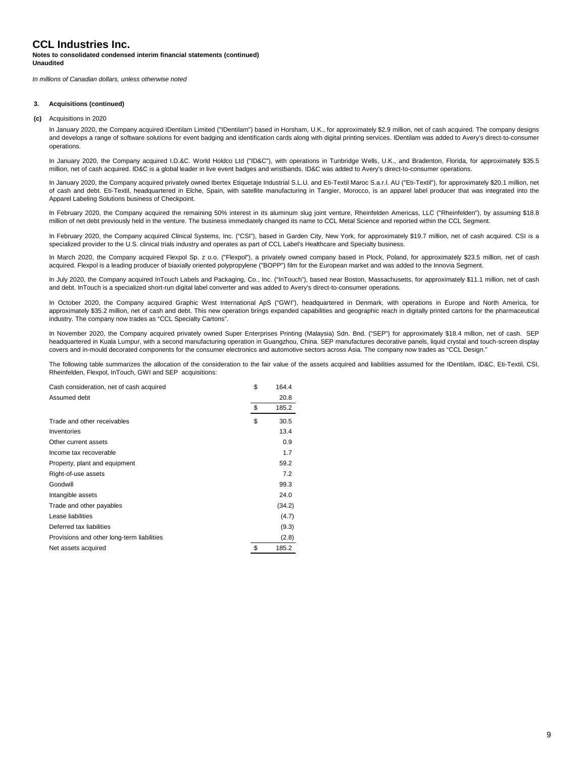#### **Notes to consolidated condensed interim financial statements (continued) Unaudited**

*In millions of Canadian dollars, unless otherwise noted*

#### **3. Acquisitions (continued)**

**(c)** Acquisitions in 2020

In January 2020, the Company acquired IDentilam Limited ("IDentilam") based in Horsham, U.K., for approximately \$2.9 million, net of cash acquired. The company designs and develops a range of software solutions for event badging and identification cards along with digital printing services. IDentilam was added to Avery's direct-to-consumer operations.

In January 2020, the Company acquired I.D.&C. World Holdco Ltd ("ID&C"), with operations in Tunbridge Wells, U.K., and Bradenton, Florida, for approximately \$35.5 million, net of cash acquired. ID&C is a global leader in live event badges and wristbands. ID&C was added to Avery's direct-to-consumer operations.

In January 2020, the Company acquired privately owned Ibertex Etiquetaje Industrial S.L.U. and Eti-Textil Maroc S.a.r.l. AU ("Eti-Textil"), for approximately \$20.1 million, net of cash and debt. Eti-Textil, headquartered in Elche, Spain, with satellite manufacturing in Tangier, Morocco, is an apparel label producer that was integrated into the Apparel Labeling Solutions business of Checkpoint.

In February 2020, the Company acquired the remaining 50% interest in its aluminum slug joint venture, Rheinfelden Americas, LLC ("Rheinfelden"), by assuming \$18.8 million of net debt previously held in the venture. The business immediately changed its name to CCL Metal Science and reported within the CCL Segment.

In February 2020, the Company acquired Clinical Systems, Inc. ("CSI"), based in Garden City, New York, for approximately \$19.7 million, net of cash acquired. CSI is a specialized provider to the U.S. clinical trials industry and operates as part of CCL Label's Healthcare and Specialty business.

In March 2020, the Company acquired Flexpol Sp. z o.o. ("Flexpol"), a privately owned company based in Plock, Poland, for approximately \$23.5 million, net of cash acquired. Flexpol is a leading producer of biaxially oriented polypropylene ("BOPP") film for the European market and was added to the Innovia Segment.

In July 2020, the Company acquired InTouch Labels and Packaging, Co., Inc. ("InTouch"), based near Boston, Massachusetts, for approximately \$11.1 million, net of cash and debt. InTouch is a specialized short-run digital label converter and was added to Avery's direct-to-consumer operations.

In October 2020, the Company acquired Graphic West International ApS ("GWI"), headquartered in Denmark, with operations in Europe and North America, for approximately \$35.2 million, net of cash and debt. This new operation brings expanded capabilities and geographic reach in digitally printed cartons for the pharmaceutical industry. The company now trades as "CCL Specialty Cartons".

In November 2020, the Company acquired privately owned Super Enterprises Printing (Malaysia) Sdn. Bnd. ("SEP") for approximately \$18.4 million, net of cash. SEP headquartered in Kuala Lumpur, with a second manufacturing operation in Guangzhou, China. SEP manufactures decorative panels, liquid crystal and touch-screen display covers and in-mould decorated components for the consumer electronics and automotive sectors across Asia. The company now trades as "CCL Design."

The following table summarizes the allocation of the consideration to the fair value of the assets acquired and liabilities assumed for the IDentilam, ID&C, Eti-Textil, CSI, Rheinfelden, Flexpol, InTouch, GWI and SEP acquisitions:

| Cash consideration, net of cash acquired   | \$<br>164.4 |
|--------------------------------------------|-------------|
| Assumed debt                               | 20.8        |
|                                            | \$<br>185.2 |
| Trade and other receivables                | \$<br>30.5  |
| Inventories                                | 13.4        |
| Other current assets                       | 0.9         |
| Income tax recoverable                     | 1.7         |
| Property, plant and equipment              | 59.2        |
| Right-of-use assets                        | 7.2         |
| Goodwill                                   | 99.3        |
| Intangible assets                          | 24.0        |
| Trade and other payables                   | (34.2)      |
| Lease liabilities                          | (4.7)       |
| Deferred tax liabilities                   | (9.3)       |
| Provisions and other long-term liabilities | (2.8)       |
| Net assets acquired                        | \$<br>185.2 |
|                                            |             |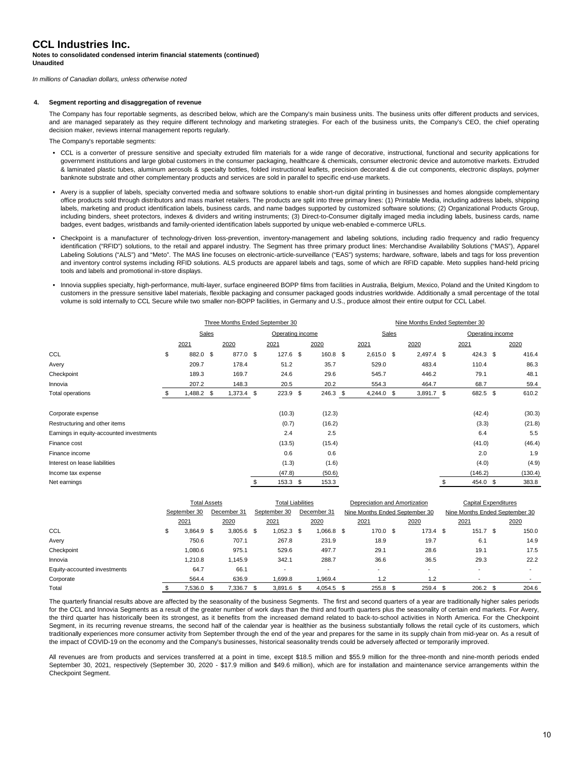#### **Notes to consolidated condensed interim financial statements (continued) Unaudited**

*In millions of Canadian dollars, unless otherwise noted*

#### **4. Segment reporting and disaggregation of revenue**

The Company has four reportable segments, as described below, which are the Company's main business units. The business units offer different products and services, and are managed separately as they require different technology and marketing strategies. For each of the business units, the Company's CEO, the chief operating decision maker, reviews internal management reports regularly.

The Company's reportable segments:

- **•** CCL is a converter of pressure sensitive and specialty extruded film materials for a wide range of decorative, instructional, functional and security applications for government institutions and large global customers in the consumer packaging, healthcare & chemicals, consumer electronic device and automotive markets. Extruded & laminated plastic tubes, aluminum aerosols & specialty bottles, folded instructional leaflets, precision decorated & die cut components, electronic displays, polymer banknote substrate and other complementary products and services are sold in parallel to specific end-use markets.
- **•** Avery is a supplier of labels, specialty converted media and software solutions to enable short-run digital printing in businesses and homes alongside complementary office products sold through distributors and mass market retailers. The products are split into three primary lines: (1) Printable Media, including address labels, shipping labels, marketing and product identification labels, business cards, and name badges supported by customized software solutions; (2) Organizational Products Group, including binders, sheet protectors, indexes & dividers and writing instruments; (3) Direct-to-Consumer digitally imaged media including labels, business cards, name badges, event badges, wristbands and family-oriented identification labels supported by unique web-enabled e-commerce URLs.
- **•** Checkpoint is a manufacturer of technology-driven loss-prevention, inventory-management and labeling solutions, including radio frequency and radio frequency identification ("RFID") solutions, to the retail and apparel industry. The Segment has three primary product lines: Merchandise Availability Solutions ("MAS"), Apparel Labeling Solutions ("ALS") and "Meto". The MAS line focuses on electronic-article-surveillance ("EAS") systems; hardware, software, labels and tags for loss prevention and inventory control systems including RFID solutions. ALS products are apparel labels and tags, some of which are RFID capable. Meto supplies hand-held pricing tools and labels and promotional in-store displays.
- **•** Innovia supplies specialty, high-performance, multi-layer, surface engineered BOPP films from facilities in Australia, Belgium, Mexico, Poland and the United Kingdom to customers in the pressure sensitive label materials, flexible packaging and consumer packaged goods industries worldwide. Additionally a small percentage of the total volume is sold internally to CCL Secure while two smaller non-BOPP facilities, in Germany and U.S., produce almost their entire output for CCL Label.

|                                          |                           |  | Three Months Ended September 30 |    |            |            |  | Nine Months Ended September 30 |  |              |                  |          |  |         |
|------------------------------------------|---------------------------|--|---------------------------------|----|------------|------------|--|--------------------------------|--|--------------|------------------|----------|--|---------|
|                                          | Sales<br>Operating income |  |                                 |    |            | Sales      |  |                                |  |              | Operating income |          |  |         |
|                                          | 2021                      |  | 2020                            |    | 2021       | 2020       |  | 2021                           |  | 2020         |                  | 2021     |  | 2020    |
| CCL                                      | \$<br>882.0 \$            |  | 877.0 \$                        |    | $127.6$ \$ | 160.8 \$   |  | $2,615.0$ \$                   |  | $2,497.4$ \$ |                  | 424.3 \$ |  | 416.4   |
| Avery                                    | 209.7                     |  | 178.4                           |    | 51.2       | 35.7       |  | 529.0                          |  | 483.4        |                  | 110.4    |  | 86.3    |
| Checkpoint                               | 189.3                     |  | 169.7                           |    | 24.6       | 29.6       |  | 545.7                          |  | 446.2        |                  | 79.1     |  | 48.1    |
| Innovia                                  | 207.2                     |  | 148.3                           |    | 20.5       | 20.2       |  | 554.3                          |  | 464.7        |                  | 68.7     |  | 59.4    |
| Total operations                         | 1,488.2 \$                |  | $1,373.4$ \$                    |    | $223.9$ \$ | $246.3$ \$ |  | $4,244.0$ \$                   |  | 3,891.7 \$   |                  | 682.5 \$ |  | 610.2   |
| Corporate expense                        |                           |  |                                 |    | (10.3)     | (12.3)     |  |                                |  |              |                  | (42.4)   |  | (30.3)  |
| Restructuring and other items            |                           |  |                                 |    | (0.7)      | (16.2)     |  |                                |  |              |                  | (3.3)    |  | (21.8)  |
| Earnings in equity-accounted investments |                           |  |                                 |    | 2.4        | 2.5        |  |                                |  |              |                  | 6.4      |  | 5.5     |
| Finance cost                             |                           |  |                                 |    | (13.5)     | (15.4)     |  |                                |  |              |                  | (41.0)   |  | (46.4)  |
| Finance income                           |                           |  |                                 |    | 0.6        | 0.6        |  |                                |  |              |                  | 2.0      |  | 1.9     |
| Interest on lease liabilities            |                           |  |                                 |    | (1.3)      | (1.6)      |  |                                |  |              |                  | (4.0)    |  | (4.9)   |
| Income tax expense                       |                           |  |                                 |    | (47.8)     | (50.6)     |  |                                |  |              |                  | (146.2)  |  | (130.4) |
| Net earnings                             |                           |  |                                 | \$ | $153.3$ \$ | 153.3      |  |                                |  |              | \$               | 454.0 \$ |  | 383.8   |

|                              | <b>Total Assets</b>         |  |         |              | <b>Total Liabilities</b> |  |              |  | Depreciation and Amortization  |      |                                | Capital Expenditures |          |      |       |
|------------------------------|-----------------------------|--|---------|--------------|--------------------------|--|--------------|--|--------------------------------|------|--------------------------------|----------------------|----------|------|-------|
|                              | September 30<br>December 31 |  |         | September 30 |                          |  | December 31  |  | Nine Months Ended September 30 |      | Nine Months Ended September 30 |                      |          |      |       |
|                              | 2021                        |  | 2020    |              | 2021                     |  | 2020         |  | 2021                           |      | 2020                           |                      | 2021     |      | 2020  |
| CCL                          | \$<br>$3,864.9$ \$          |  | 3,805.6 | \$           | $1,052.3$ \$             |  | 1,066.8 \$   |  | 170.0 \$                       |      | $173.4$ \$                     |                      | 151.7    | - \$ | 150.0 |
| Avery                        | 750.6                       |  | 707.1   |              | 267.8                    |  | 231.9        |  | 18.9                           |      | 19.7                           |                      | 6.1      |      | 14.9  |
| Checkpoint                   | 1.080.6                     |  | 975.1   |              | 529.6                    |  | 497.7        |  | 29.1                           |      | 28.6                           |                      | 19.1     |      | 17.5  |
| Innovia                      | 1.210.8                     |  | 1.145.9 |              | 342.1                    |  | 288.7        |  | 36.6                           |      | 36.5                           |                      | 29.3     |      | 22.2  |
| Equity-accounted investments | 64.7                        |  | 66.1    |              |                          |  |              |  | $\overline{\phantom{a}}$       |      |                                |                      |          |      |       |
| Corporate                    | 564.4                       |  | 636.9   |              | .699.8                   |  | 1.969.4      |  | 1.2                            |      | $\cdot$                        |                      |          |      |       |
| Total                        | 7,536.0 \$                  |  | .336.7  |              | $3,891.6$ \$             |  | $4,054.5$ \$ |  | 255.8                          | - \$ | 259.4 \$                       |                      | 206.2 \$ |      | 204.6 |

The quarterly financial results above are affected by the seasonality of the business Segments. The first and second quarters of a year are traditionally higher sales periods for the CCL and Innovia Segments as a result of the greater number of work days than the third and fourth quarters plus the seasonality of certain end markets. For Avery, the third quarter has historically been its strongest, as it benefits from the increased demand related to back-to-school activities in North America. For the Checkpoint Segment, in its recurring revenue streams, the second half of the calendar year is healthier as the business substantially follows the retail cycle of its customers, which traditionally experiences more consumer activity from September through the end of the year and prepares for the same in its supply chain from mid-year on. As a result of the impact of COVID-19 on the economy and the Company's businesses, historical seasonality trends could be adversely affected or temporarily improved.

All revenues are from products and services transferred at a point in time, except \$18.5 million and \$55.9 million for the three-month and nine-month periods ended September 30, 2021, respectively (September 30, 2020 - \$17.9 million and \$49.6 million), which are for installation and maintenance service arrangements within the Checkpoint Segment.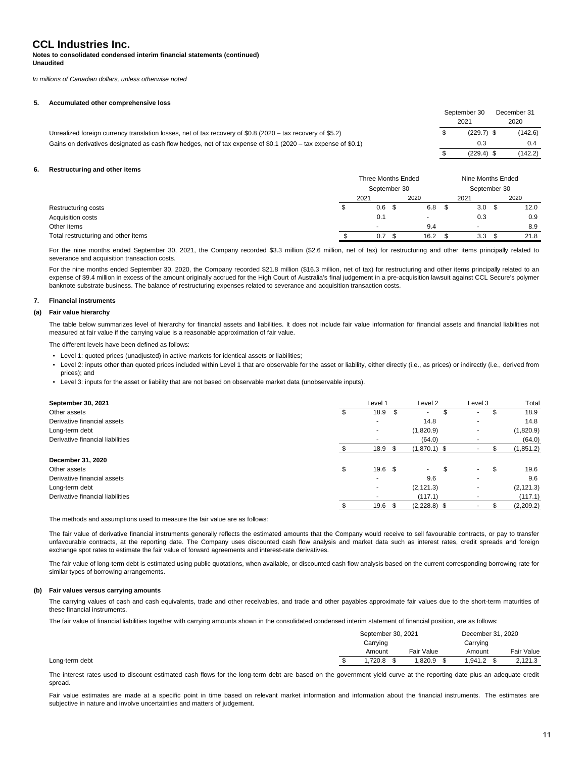#### **Notes to consolidated condensed interim financial statements (continued) Unaudited**

*In millions of Canadian dollars, unless otherwise noted*

#### **5. Accumulated other comprehensive loss**

|                                                                                                                | September 30 | December 31 |
|----------------------------------------------------------------------------------------------------------------|--------------|-------------|
|                                                                                                                | 2021         | 2020        |
| Unrealized foreign currency translation losses, net of tax recovery of \$0.8 (2020 – tax recovery of \$5.2)    | $(229.7)$ \$ | (142.6)     |
| Gains on derivatives designated as cash flow hedges, net of tax expense of \$0.1 (2020 – tax expense of \$0.1) | 0.3          | 0.4         |
|                                                                                                                | $(229.4)$ \$ | (142.2)     |

#### **6. Restructuring and other items**

|                                     | Three Months Ended |                  |  | Nine Months Ended        |  |                  |  |      |
|-------------------------------------|--------------------|------------------|--|--------------------------|--|------------------|--|------|
|                                     | September 30       |                  |  | September 30             |  |                  |  |      |
|                                     |                    | 2021             |  | 2020                     |  | 2021             |  | 2020 |
| Restructuring costs                 |                    | 0.6 <sup>5</sup> |  | 6.8                      |  | 3.0 <sup>5</sup> |  | 12.0 |
| <b>Acquisition costs</b>            |                    | 0.1              |  | $\overline{\phantom{a}}$ |  | 0.3              |  | 0.9  |
| Other items                         |                    |                  |  | 9.4                      |  | -                |  | 8.9  |
| Total restructuring and other items |                    | 0.7              |  | 16.2                     |  | 3.3              |  | 21.8 |

For the nine months ended September 30, 2021, the Company recorded \$3.3 million (\$2.6 million, net of tax) for restructuring and other items principally related to severance and acquisition transaction costs.

For the nine months ended September 30, 2020, the Company recorded \$21.8 million (\$16.3 million, net of tax) for restructuring and other items principally related to an expense of \$9.4 million in excess of the amount originally accrued for the High Court of Australia's final judgement in a pre-acquisition lawsuit against CCL Secure's polymer banknote substrate business. The balance of restructuring expenses related to severance and acquisition transaction costs.

#### **7. Financial instruments**

#### **(a) Fair value hierarchy**

The table below summarizes level of hierarchy for financial assets and liabilities. It does not include fair value information for financial assets and financial liabilities not measured at fair value if the carrying value is a reasonable approximation of fair value.

The different levels have been defined as follows:

- Level 1: quoted prices (unadjusted) in active markets for identical assets or liabilities;
- Level 2: inputs other than quoted prices included within Level 1 that are observable for the asset or liability, either directly (i.e., as prices) or indirectly (i.e., derived from prices); and
- Level 3: inputs for the asset or liability that are not based on observable market data (unobservable inputs).

| September 30, 2021               | Level 1                 |     | Level 2                  | Level 3 | Total      |
|----------------------------------|-------------------------|-----|--------------------------|---------|------------|
| Other assets                     | 18.9 <sup>5</sup>       |     | $\overline{\phantom{a}}$ |         | \$<br>18.9 |
| Derivative financial assets      |                         |     | 14.8                     |         | 14.8       |
| Long-term debt                   |                         |     | (1,820.9)                |         | (1,820.9)  |
| Derivative financial liabilities |                         |     | (64.0)                   |         | (64.0)     |
|                                  | 18.9                    | -\$ | $(1,870.1)$ \$           |         | (1, 851.2) |
| December 31, 2020                |                         |     |                          |         |            |
| Other assets                     | \$<br>19.6 <sup>5</sup> |     | $\sim$                   | \$<br>۰ | \$<br>19.6 |
| Derivative financial assets      |                         |     | 9.6                      |         | 9.6        |
| Long-term debt                   |                         |     | (2, 121.3)               |         | (2, 121.3) |
| Derivative financial liabilities | ۰                       |     | (117.1)                  | ۰       | (117.1)    |
|                                  | 19.6                    |     | $(2,228.8)$ \$           |         | (2,209.2)  |

The methods and assumptions used to measure the fair value are as follows:

The fair value of derivative financial instruments generally reflects the estimated amounts that the Company would receive to sell favourable contracts, or pay to transfer unfavourable contracts, at the reporting date. The Company uses discounted cash flow analysis and market data such as interest rates, credit spreads and foreign exchange spot rates to estimate the fair value of forward agreements and interest-rate derivatives.

The fair value of long-term debt is estimated using public quotations, when available, or discounted cash flow analysis based on the current corresponding borrowing rate for similar types of borrowing arrangements.

#### **(b) Fair values versus carrying amounts**

The carrying values of cash and cash equivalents, trade and other receivables, and trade and other payables approximate fair values due to the short-term maturities of these financial instruments.

The fair value of financial liabilities together with carrying amounts shown in the consolidated condensed interim statement of financial position, are as follows:

|                | September 30, 2021 |  |            |          | December 31, 2020 |  |            |  |
|----------------|--------------------|--|------------|----------|-------------------|--|------------|--|
|                | Carrying           |  |            | Carrying |                   |  |            |  |
|                | Amount             |  | Fair Value |          | Amount            |  | Fair Value |  |
| Long-term debt | .720.8             |  | .820.9     |          | 1.941.2           |  | 2,121.3    |  |

The interest rates used to discount estimated cash flows for the long-term debt are based on the government yield curve at the reporting date plus an adequate credit spread.

Fair value estimates are made at a specific point in time based on relevant market information and information about the financial instruments. The estimates are subjective in nature and involve uncertainties and matters of judgement.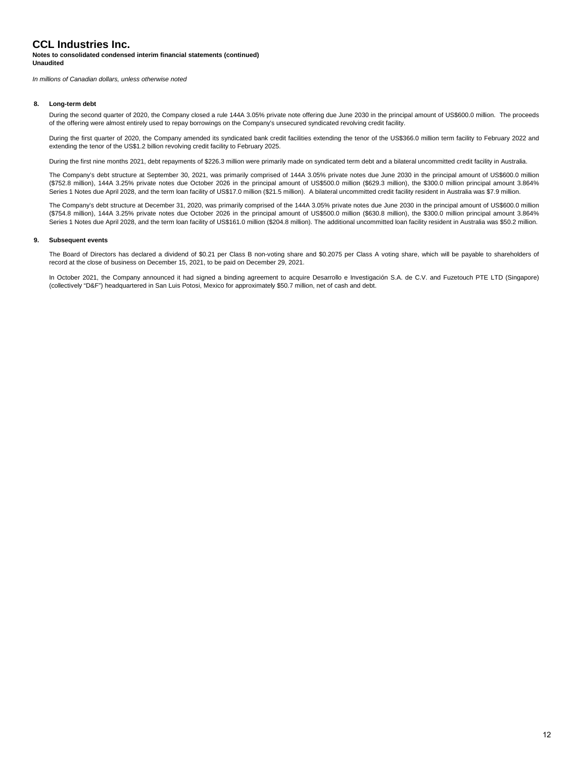#### **Notes to consolidated condensed interim financial statements (continued) Unaudited**

*In millions of Canadian dollars, unless otherwise noted*

#### **8. Long-term debt**

During the second quarter of 2020, the Company closed a rule 144A 3.05% private note offering due June 2030 in the principal amount of US\$600.0 million. The proceeds of the offering were almost entirely used to repay borrowings on the Company's unsecured syndicated revolving credit facility.

During the first quarter of 2020, the Company amended its syndicated bank credit facilities extending the tenor of the US\$366.0 million term facility to February 2022 and extending the tenor of the US\$1.2 billion revolving credit facility to February 2025.

During the first nine months 2021, debt repayments of \$226.3 million were primarily made on syndicated term debt and a bilateral uncommitted credit facility in Australia.

The Company's debt structure at September 30, 2021, was primarily comprised of 144A 3.05% private notes due June 2030 in the principal amount of US\$600.0 million (\$752.8 million), 144A 3.25% private notes due October 2026 in the principal amount of US\$500.0 million (\$629.3 million), the \$300.0 million principal amount 3.864% Series 1 Notes due April 2028, and the term loan facility of US\$17.0 million (\$21.5 million). A bilateral uncommitted credit facility resident in Australia was \$7.9 million.

The Company's debt structure at December 31, 2020, was primarily comprised of the 144A 3.05% private notes due June 2030 in the principal amount of US\$600.0 million (\$754.8 million), 144A 3.25% private notes due October 2026 in the principal amount of US\$500.0 million (\$630.8 million), the \$300.0 million principal amount 3.864% Series 1 Notes due April 2028, and the term loan facility of US\$161.0 million (\$204.8 million). The additional uncommitted loan facility resident in Australia was \$50.2 million.

#### **9. Subsequent events**

The Board of Directors has declared a dividend of \$0.21 per Class B non-voting share and \$0.2075 per Class A voting share, which will be payable to shareholders of record at the close of business on December 15, 2021, to be paid on December 29, 2021.

In October 2021, the Company announced it had signed a binding agreement to acquire Desarrollo e Investigación S.A. de C.V. and Fuzetouch PTE LTD (Singapore) (collectively "D&F") headquartered in San Luis Potosi, Mexico for approximately \$50.7 million, net of cash and debt.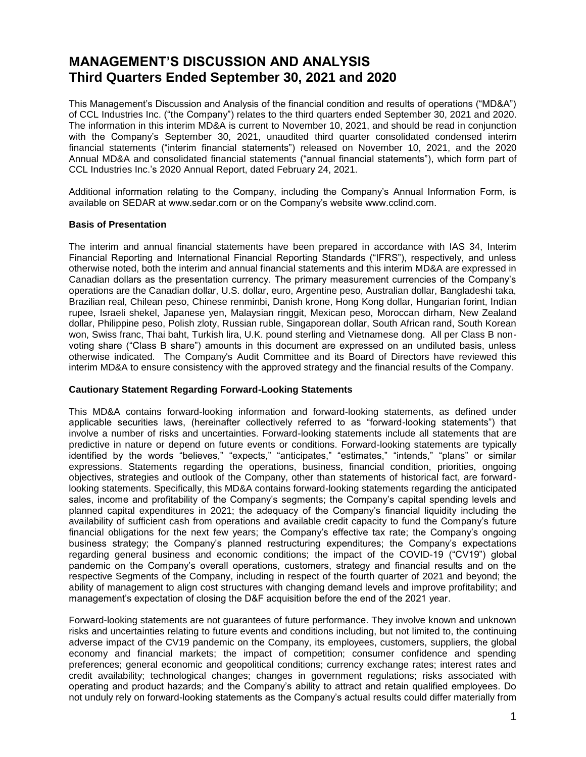# **MANAGEMENT'S DISCUSSION AND ANALYSIS Third Quarters Ended September 30, 2021 and 2020**

This Management's Discussion and Analysis of the financial condition and results of operations ("MD&A") of CCL Industries Inc. ("the Company") relates to the third quarters ended September 30, 2021 and 2020. The information in this interim MD&A is current to November 10, 2021, and should be read in conjunction with the Company's September 30, 2021, unaudited third quarter consolidated condensed interim financial statements ("interim financial statements") released on November 10, 2021, and the 2020 Annual MD&A and consolidated financial statements ("annual financial statements"), which form part of CCL Industries Inc.'s 2020 Annual Report, dated February 24, 2021.

Additional information relating to the Company, including the Company's Annual Information Form, is available on SEDAR at www.sedar.com or on the Company's website www.cclind.com.

### **Basis of Presentation**

The interim and annual financial statements have been prepared in accordance with IAS 34, Interim Financial Reporting and International Financial Reporting Standards ("IFRS"), respectively, and unless otherwise noted, both the interim and annual financial statements and this interim MD&A are expressed in Canadian dollars as the presentation currency. The primary measurement currencies of the Company's operations are the Canadian dollar, U.S. dollar, euro, Argentine peso, Australian dollar, Bangladeshi taka, Brazilian real, Chilean peso, Chinese renminbi, Danish krone, Hong Kong dollar, Hungarian forint, Indian rupee, Israeli shekel, Japanese yen, Malaysian ringgit, Mexican peso, Moroccan dirham, New Zealand dollar, Philippine peso, Polish zloty, Russian ruble, Singaporean dollar, South African rand, South Korean won, Swiss franc, Thai baht, Turkish lira, U.K. pound sterling and Vietnamese dong. All per Class B nonvoting share ("Class B share") amounts in this document are expressed on an undiluted basis, unless otherwise indicated. The Company's Audit Committee and its Board of Directors have reviewed this interim MD&A to ensure consistency with the approved strategy and the financial results of the Company.

### **Cautionary Statement Regarding Forward-Looking Statements**

This MD&A contains forward-looking information and forward-looking statements, as defined under applicable securities laws, (hereinafter collectively referred to as "forward-looking statements") that involve a number of risks and uncertainties. Forward-looking statements include all statements that are predictive in nature or depend on future events or conditions. Forward-looking statements are typically identified by the words "believes," "expects," "anticipates," "estimates," "intends," "plans" or similar expressions. Statements regarding the operations, business, financial condition, priorities, ongoing objectives, strategies and outlook of the Company, other than statements of historical fact, are forwardlooking statements. Specifically, this MD&A contains forward-looking statements regarding the anticipated sales, income and profitability of the Company's segments; the Company's capital spending levels and planned capital expenditures in 2021; the adequacy of the Company's financial liquidity including the availability of sufficient cash from operations and available credit capacity to fund the Company's future financial obligations for the next few years; the Company's effective tax rate; the Company's ongoing business strategy; the Company's planned restructuring expenditures; the Company's expectations regarding general business and economic conditions; the impact of the COVID-19 ("CV19") global pandemic on the Company's overall operations, customers, strategy and financial results and on the respective Segments of the Company, including in respect of the fourth quarter of 2021 and beyond; the ability of management to align cost structures with changing demand levels and improve profitability; and management's expectation of closing the D&F acquisition before the end of the 2021 year.

Forward-looking statements are not guarantees of future performance. They involve known and unknown risks and uncertainties relating to future events and conditions including, but not limited to, the continuing adverse impact of the CV19 pandemic on the Company, its employees, customers, suppliers, the global economy and financial markets; the impact of competition; consumer confidence and spending preferences; general economic and geopolitical conditions; currency exchange rates; interest rates and credit availability; technological changes; changes in government regulations; risks associated with operating and product hazards; and the Company's ability to attract and retain qualified employees. Do not unduly rely on forward-looking statements as the Company's actual results could differ materially from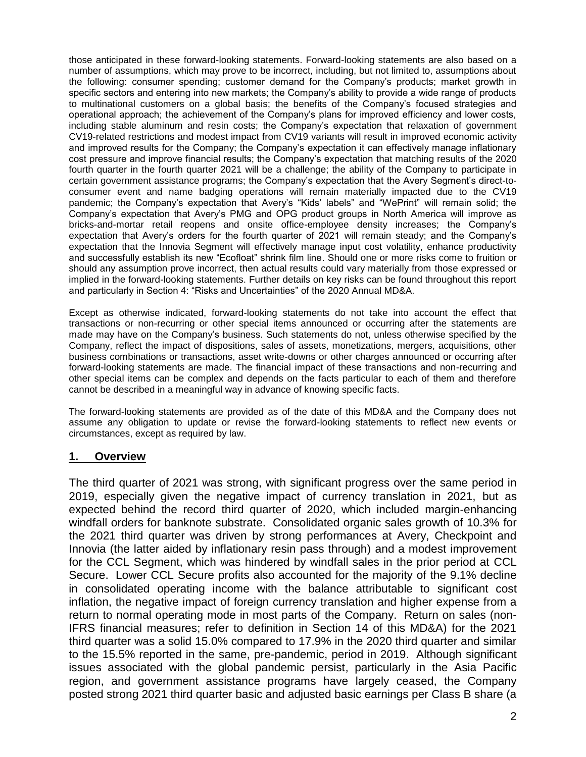those anticipated in these forward-looking statements. Forward-looking statements are also based on a number of assumptions, which may prove to be incorrect, including, but not limited to, assumptions about the following: consumer spending; customer demand for the Company's products; market growth in specific sectors and entering into new markets; the Company's ability to provide a wide range of products to multinational customers on a global basis; the benefits of the Company's focused strategies and operational approach; the achievement of the Company's plans for improved efficiency and lower costs, including stable aluminum and resin costs; the Company's expectation that relaxation of government CV19-related restrictions and modest impact from CV19 variants will result in improved economic activity and improved results for the Company; the Company's expectation it can effectively manage inflationary cost pressure and improve financial results; the Company's expectation that matching results of the 2020 fourth quarter in the fourth quarter 2021 will be a challenge; the ability of the Company to participate in certain government assistance programs; the Company's expectation that the Avery Segment's direct-toconsumer event and name badging operations will remain materially impacted due to the CV19 pandemic; the Company's expectation that Avery's "Kids' labels" and "WePrint" will remain solid; the Company's expectation that Avery's PMG and OPG product groups in North America will improve as bricks-and-mortar retail reopens and onsite office-employee density increases; the Company's expectation that Avery's orders for the fourth quarter of 2021 will remain steady; and the Company's expectation that the Innovia Segment will effectively manage input cost volatility, enhance productivity and successfully establish its new "Ecofloat" shrink film line. Should one or more risks come to fruition or should any assumption prove incorrect, then actual results could vary materially from those expressed or implied in the forward-looking statements. Further details on key risks can be found throughout this report and particularly in Section 4: "Risks and Uncertainties" of the 2020 Annual MD&A.

Except as otherwise indicated, forward-looking statements do not take into account the effect that transactions or non-recurring or other special items announced or occurring after the statements are made may have on the Company's business. Such statements do not, unless otherwise specified by the Company, reflect the impact of dispositions, sales of assets, monetizations, mergers, acquisitions, other business combinations or transactions, asset write-downs or other charges announced or occurring after forward-looking statements are made. The financial impact of these transactions and non-recurring and other special items can be complex and depends on the facts particular to each of them and therefore cannot be described in a meaningful way in advance of knowing specific facts.

The forward-looking statements are provided as of the date of this MD&A and the Company does not assume any obligation to update or revise the forward-looking statements to reflect new events or circumstances, except as required by law.

## **1. Overview**

The third quarter of 2021 was strong, with significant progress over the same period in 2019, especially given the negative impact of currency translation in 2021, but as expected behind the record third quarter of 2020, which included margin-enhancing windfall orders for banknote substrate. Consolidated organic sales growth of 10.3% for the 2021 third quarter was driven by strong performances at Avery, Checkpoint and Innovia (the latter aided by inflationary resin pass through) and a modest improvement for the CCL Segment, which was hindered by windfall sales in the prior period at CCL Secure. Lower CCL Secure profits also accounted for the majority of the 9.1% decline in consolidated operating income with the balance attributable to significant cost inflation, the negative impact of foreign currency translation and higher expense from a return to normal operating mode in most parts of the Company. Return on sales (non-IFRS financial measures; refer to definition in Section 14 of this MD&A) for the 2021 third quarter was a solid 15.0% compared to 17.9% in the 2020 third quarter and similar to the 15.5% reported in the same, pre-pandemic, period in 2019. Although significant issues associated with the global pandemic persist, particularly in the Asia Pacific region, and government assistance programs have largely ceased, the Company posted strong 2021 third quarter basic and adjusted basic earnings per Class B share (a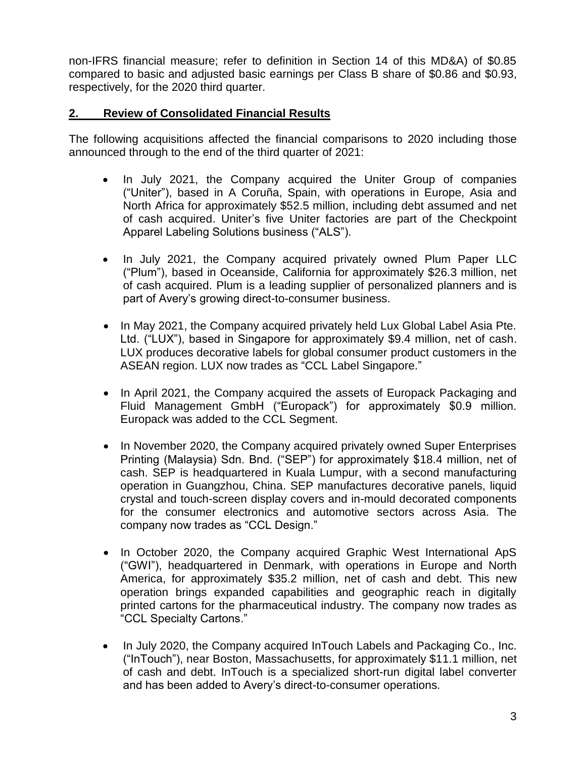non-IFRS financial measure; refer to definition in Section 14 of this MD&A) of \$0.85 compared to basic and adjusted basic earnings per Class B share of \$0.86 and \$0.93, respectively, for the 2020 third quarter.

# **2. Review of Consolidated Financial Results**

The following acquisitions affected the financial comparisons to 2020 including those announced through to the end of the third quarter of 2021:

- In July 2021, the Company acquired the Uniter Group of companies ("Uniter"), based in A Coruña, Spain, with operations in Europe, Asia and North Africa for approximately \$52.5 million, including debt assumed and net of cash acquired. Uniter's five Uniter factories are part of the Checkpoint Apparel Labeling Solutions business ("ALS").
- In July 2021, the Company acquired privately owned Plum Paper LLC ("Plum"), based in Oceanside, California for approximately \$26.3 million, net of cash acquired. Plum is a leading supplier of personalized planners and is part of Avery's growing direct-to-consumer business.
- In May 2021, the Company acquired privately held Lux Global Label Asia Pte. Ltd. ("LUX"), based in Singapore for approximately \$9.4 million, net of cash. LUX produces decorative labels for global consumer product customers in the ASEAN region. LUX now trades as "CCL Label Singapore."
- In April 2021, the Company acquired the assets of Europack Packaging and Fluid Management GmbH ("Europack") for approximately \$0.9 million. Europack was added to the CCL Segment.
- In November 2020, the Company acquired privately owned Super Enterprises Printing (Malaysia) Sdn. Bnd. ("SEP") for approximately \$18.4 million, net of cash. SEP is headquartered in Kuala Lumpur, with a second manufacturing operation in Guangzhou, China. SEP manufactures decorative panels, liquid crystal and touch-screen display covers and in-mould decorated components for the consumer electronics and automotive sectors across Asia. The company now trades as "CCL Design."
- In October 2020, the Company acquired Graphic West International ApS ("GWI"), headquartered in Denmark, with operations in Europe and North America, for approximately \$35.2 million, net of cash and debt. This new operation brings expanded capabilities and geographic reach in digitally printed cartons for the pharmaceutical industry. The company now trades as "CCL Specialty Cartons."
- In July 2020, the Company acquired InTouch Labels and Packaging Co., Inc. ("InTouch"), near Boston, Massachusetts, for approximately \$11.1 million, net of cash and debt. InTouch is a specialized short-run digital label converter and has been added to Avery's direct-to-consumer operations.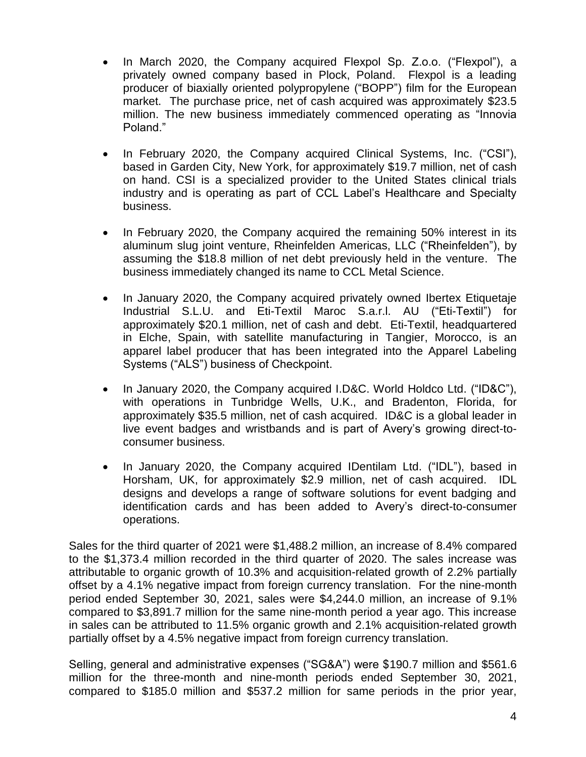- In March 2020, the Company acquired Flexpol Sp. Z.o.o. ("Flexpol"), a privately owned company based in Plock, Poland. Flexpol is a leading producer of biaxially oriented polypropylene ("BOPP") film for the European market. The purchase price, net of cash acquired was approximately \$23.5 million. The new business immediately commenced operating as "Innovia Poland."
- In February 2020, the Company acquired Clinical Systems, Inc. ("CSI"), based in Garden City, New York, for approximately \$19.7 million, net of cash on hand. CSI is a specialized provider to the United States clinical trials industry and is operating as part of CCL Label's Healthcare and Specialty business.
- In February 2020, the Company acquired the remaining 50% interest in its aluminum slug joint venture, Rheinfelden Americas, LLC ("Rheinfelden"), by assuming the \$18.8 million of net debt previously held in the venture. The business immediately changed its name to CCL Metal Science.
- In January 2020, the Company acquired privately owned Ibertex Etiquetaje Industrial S.L.U. and Eti-Textil Maroc S.a.r.l. AU ("Eti-Textil") for approximately \$20.1 million, net of cash and debt. Eti-Textil, headquartered in Elche, Spain, with satellite manufacturing in Tangier, Morocco, is an apparel label producer that has been integrated into the Apparel Labeling Systems ("ALS") business of Checkpoint.
- In January 2020, the Company acquired I.D&C. World Holdco Ltd. ("ID&C"), with operations in Tunbridge Wells, U.K., and Bradenton, Florida, for approximately \$35.5 million, net of cash acquired. ID&C is a global leader in live event badges and wristbands and is part of Avery's growing direct-toconsumer business.
- In January 2020, the Company acquired IDentilam Ltd. ("IDL"), based in Horsham, UK, for approximately \$2.9 million, net of cash acquired. IDL designs and develops a range of software solutions for event badging and identification cards and has been added to Avery's direct-to-consumer operations.

Sales for the third quarter of 2021 were \$1,488.2 million, an increase of 8.4% compared to the \$1,373.4 million recorded in the third quarter of 2020. The sales increase was attributable to organic growth of 10.3% and acquisition-related growth of 2.2% partially offset by a 4.1% negative impact from foreign currency translation. For the nine-month period ended September 30, 2021, sales were \$4,244.0 million, an increase of 9.1% compared to \$3,891.7 million for the same nine-month period a year ago. This increase in sales can be attributed to 11.5% organic growth and 2.1% acquisition-related growth partially offset by a 4.5% negative impact from foreign currency translation.

Selling, general and administrative expenses ("SG&A") were \$190.7 million and \$561.6 million for the three-month and nine-month periods ended September 30, 2021, compared to \$185.0 million and \$537.2 million for same periods in the prior year,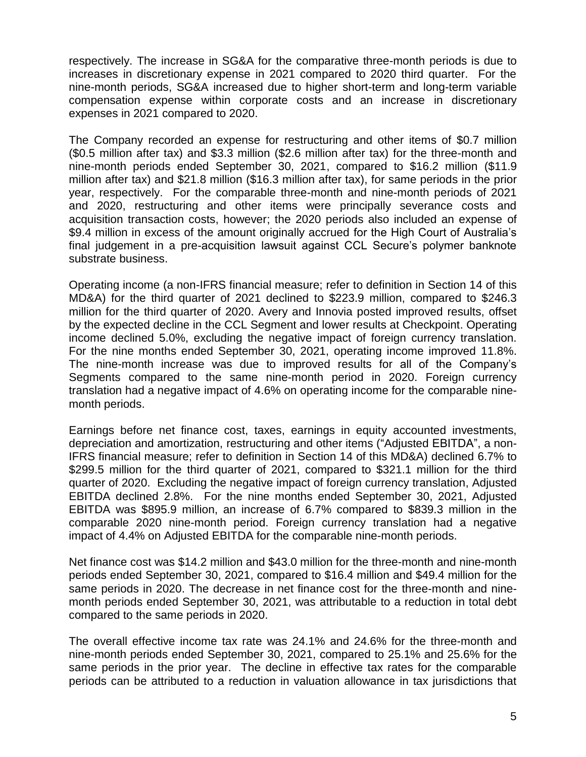respectively. The increase in SG&A for the comparative three-month periods is due to increases in discretionary expense in 2021 compared to 2020 third quarter. For the nine-month periods, SG&A increased due to higher short-term and long-term variable compensation expense within corporate costs and an increase in discretionary expenses in 2021 compared to 2020.

The Company recorded an expense for restructuring and other items of \$0.7 million (\$0.5 million after tax) and \$3.3 million (\$2.6 million after tax) for the three-month and nine-month periods ended September 30, 2021, compared to \$16.2 million (\$11.9 million after tax) and \$21.8 million (\$16.3 million after tax), for same periods in the prior year, respectively. For the comparable three-month and nine-month periods of 2021 and 2020, restructuring and other items were principally severance costs and acquisition transaction costs, however; the 2020 periods also included an expense of \$9.4 million in excess of the amount originally accrued for the High Court of Australia's final judgement in a pre-acquisition lawsuit against CCL Secure's polymer banknote substrate business.

Operating income (a non-IFRS financial measure; refer to definition in Section 14 of this MD&A) for the third quarter of 2021 declined to \$223.9 million, compared to \$246.3 million for the third quarter of 2020. Avery and Innovia posted improved results, offset by the expected decline in the CCL Segment and lower results at Checkpoint. Operating income declined 5.0%, excluding the negative impact of foreign currency translation. For the nine months ended September 30, 2021, operating income improved 11.8%. The nine-month increase was due to improved results for all of the Company's Segments compared to the same nine-month period in 2020. Foreign currency translation had a negative impact of 4.6% on operating income for the comparable ninemonth periods.

Earnings before net finance cost, taxes, earnings in equity accounted investments, depreciation and amortization, restructuring and other items ("Adjusted EBITDA", a non-IFRS financial measure; refer to definition in Section 14 of this MD&A) declined 6.7% to \$299.5 million for the third quarter of 2021, compared to \$321.1 million for the third quarter of 2020. Excluding the negative impact of foreign currency translation, Adjusted EBITDA declined 2.8%. For the nine months ended September 30, 2021, Adjusted EBITDA was \$895.9 million, an increase of 6.7% compared to \$839.3 million in the comparable 2020 nine-month period. Foreign currency translation had a negative impact of 4.4% on Adjusted EBITDA for the comparable nine-month periods.

Net finance cost was \$14.2 million and \$43.0 million for the three-month and nine-month periods ended September 30, 2021, compared to \$16.4 million and \$49.4 million for the same periods in 2020. The decrease in net finance cost for the three-month and ninemonth periods ended September 30, 2021, was attributable to a reduction in total debt compared to the same periods in 2020.

The overall effective income tax rate was 24.1% and 24.6% for the three-month and nine-month periods ended September 30, 2021, compared to 25.1% and 25.6% for the same periods in the prior year. The decline in effective tax rates for the comparable periods can be attributed to a reduction in valuation allowance in tax jurisdictions that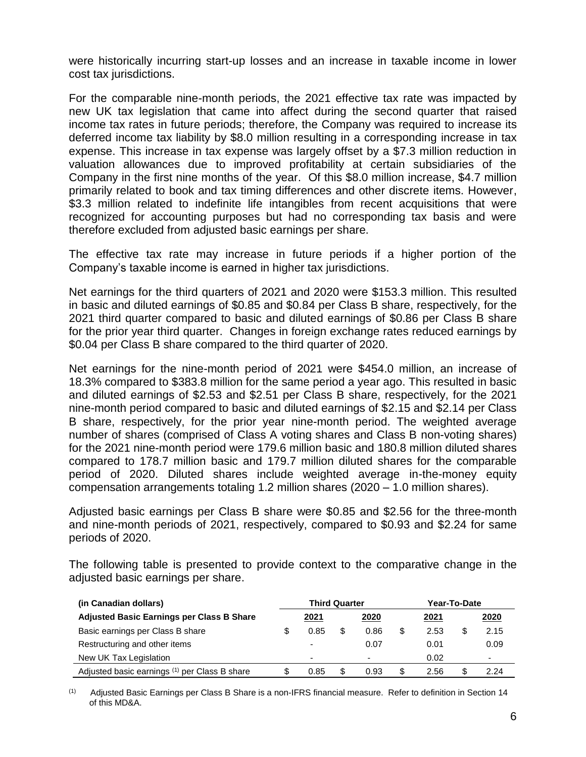were historically incurring start-up losses and an increase in taxable income in lower cost tax jurisdictions.

For the comparable nine-month periods, the 2021 effective tax rate was impacted by new UK tax legislation that came into affect during the second quarter that raised income tax rates in future periods; therefore, the Company was required to increase its deferred income tax liability by \$8.0 million resulting in a corresponding increase in tax expense. This increase in tax expense was largely offset by a \$7.3 million reduction in valuation allowances due to improved profitability at certain subsidiaries of the Company in the first nine months of the year. Of this \$8.0 million increase, \$4.7 million primarily related to book and tax timing differences and other discrete items. However, \$3.3 million related to indefinite life intangibles from recent acquisitions that were recognized for accounting purposes but had no corresponding tax basis and were therefore excluded from adjusted basic earnings per share.

The effective tax rate may increase in future periods if a higher portion of the Company's taxable income is earned in higher tax jurisdictions.

Net earnings for the third quarters of 2021 and 2020 were \$153.3 million. This resulted in basic and diluted earnings of \$0.85 and \$0.84 per Class B share, respectively, for the 2021 third quarter compared to basic and diluted earnings of \$0.86 per Class B share for the prior year third quarter. Changes in foreign exchange rates reduced earnings by \$0.04 per Class B share compared to the third quarter of 2020.

Net earnings for the nine-month period of 2021 were \$454.0 million, an increase of 18.3% compared to \$383.8 million for the same period a year ago. This resulted in basic and diluted earnings of \$2.53 and \$2.51 per Class B share, respectively, for the 2021 nine-month period compared to basic and diluted earnings of \$2.15 and \$2.14 per Class B share, respectively, for the prior year nine-month period. The weighted average number of shares (comprised of Class A voting shares and Class B non-voting shares) for the 2021 nine-month period were 179.6 million basic and 180.8 million diluted shares compared to 178.7 million basic and 179.7 million diluted shares for the comparable period of 2020. Diluted shares include weighted average in-the-money equity compensation arrangements totaling 1.2 million shares (2020 – 1.0 million shares).

Adjusted basic earnings per Class B share were \$0.85 and \$2.56 for the three-month and nine-month periods of 2021, respectively, compared to \$0.93 and \$2.24 for same periods of 2020.

The following table is presented to provide context to the comparative change in the adjusted basic earnings per share.

| (in Canadian dollars)                            |    | <b>Third Quarter</b>     |      |   | Year-To-Date |   |                          |  |  |
|--------------------------------------------------|----|--------------------------|------|---|--------------|---|--------------------------|--|--|
| <b>Adjusted Basic Earnings per Class B Share</b> |    | 2021                     | 2020 |   | <u>2021</u>  |   | 2020                     |  |  |
| Basic earnings per Class B share                 |    | 0.85                     | 0.86 |   | 2.53         | S | 2.15                     |  |  |
| Restructuring and other items                    |    | -                        | 0.07 |   | 0.01         |   | 0.09                     |  |  |
| New UK Tax Legislation                           |    | $\overline{\phantom{0}}$ | -    |   | 0.02         |   | $\overline{\phantom{0}}$ |  |  |
| Adjusted basic earnings (1) per Class B share    | SБ | 0.85                     | 0.93 | S | 2.56         | S | 2.24                     |  |  |

(1) Adjusted Basic Earnings per Class B Share is a non-IFRS financial measure. Refer to definition in Section 14 of this MD&A.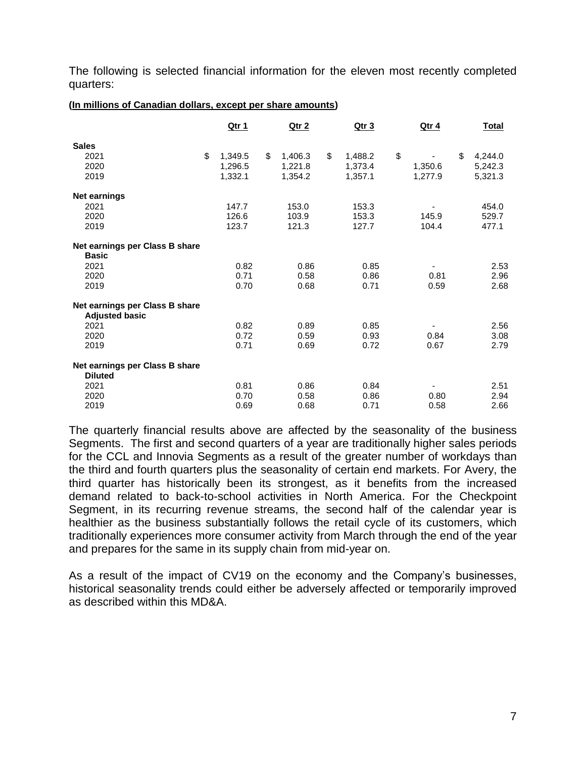The following is selected financial information for the eleven most recently completed quarters:

### **(In millions of Canadian dollars, except per share amounts)**

|                                                         | <u>Qtr 1</u>  | <u>Qtr 2</u>  | <u>Qtr 3</u>  | <u>Qtr 4</u> | <u>Total</u>  |
|---------------------------------------------------------|---------------|---------------|---------------|--------------|---------------|
| <b>Sales</b>                                            |               |               |               |              |               |
| 2021                                                    | \$<br>1,349.5 | \$<br>1,406.3 | \$<br>1,488.2 | \$           | \$<br>4,244.0 |
| 2020                                                    | 1,296.5       | 1,221.8       | 1,373.4       | 1,350.6      | 5,242.3       |
| 2019                                                    | 1,332.1       | 1,354.2       | 1,357.1       | 1,277.9      | 5,321.3       |
| <b>Net earnings</b>                                     |               |               |               |              |               |
| 2021                                                    | 147.7         | 153.0         | 153.3         |              | 454.0         |
| 2020                                                    | 126.6         | 103.9         | 153.3         | 145.9        | 529.7         |
| 2019                                                    | 123.7         | 121.3         | 127.7         | 104.4        | 477.1         |
| Net earnings per Class B share                          |               |               |               |              |               |
| <b>Basic</b>                                            |               |               |               |              |               |
| 2021                                                    | 0.82          | 0.86          | 0.85          |              | 2.53          |
| 2020                                                    | 0.71          | 0.58          | 0.86          | 0.81         | 2.96          |
| 2019                                                    | 0.70          | 0.68          | 0.71          | 0.59         | 2.68          |
| Net earnings per Class B share<br><b>Adjusted basic</b> |               |               |               |              |               |
| 2021                                                    | 0.82          | 0.89          | 0.85          |              | 2.56          |
| 2020                                                    | 0.72          | 0.59          | 0.93          | 0.84         | 3.08          |
| 2019                                                    | 0.71          | 0.69          | 0.72          | 0.67         | 2.79          |
| Net earnings per Class B share<br><b>Diluted</b>        |               |               |               |              |               |
| 2021                                                    | 0.81          | 0.86          | 0.84          |              | 2.51          |
| 2020                                                    | 0.70          | 0.58          | 0.86          | 0.80         | 2.94          |
| 2019                                                    | 0.69          | 0.68          | 0.71          | 0.58         | 2.66          |

The quarterly financial results above are affected by the seasonality of the business Segments. The first and second quarters of a year are traditionally higher sales periods for the CCL and Innovia Segments as a result of the greater number of workdays than the third and fourth quarters plus the seasonality of certain end markets. For Avery, the third quarter has historically been its strongest, as it benefits from the increased demand related to back-to-school activities in North America. For the Checkpoint Segment, in its recurring revenue streams, the second half of the calendar year is healthier as the business substantially follows the retail cycle of its customers, which traditionally experiences more consumer activity from March through the end of the year and prepares for the same in its supply chain from mid-year on.

As a result of the impact of CV19 on the economy and the Company's businesses, historical seasonality trends could either be adversely affected or temporarily improved as described within this MD&A.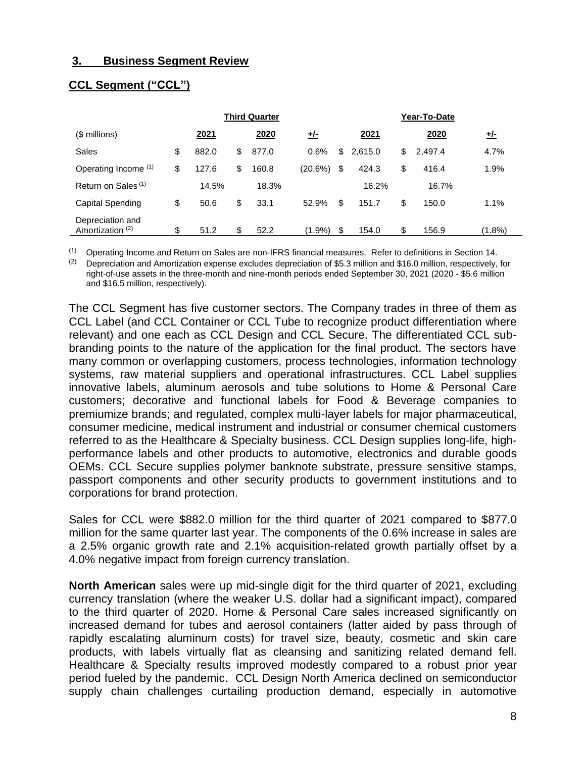### **3. Business Segment Review**

|                                                 |             | <b>Third Quarter</b> |           | Year-To-Date  |    |         |            |  |
|-------------------------------------------------|-------------|----------------------|-----------|---------------|----|---------|------------|--|
| $$$ millions)                                   | 2021        | 2020                 | <u>业</u>  | 2021          |    | 2020    | <u>+/-</u> |  |
| Sales                                           | \$<br>882.0 | \$<br>877.0          | 0.6%      | \$<br>2,615.0 | \$ | 2,497.4 | 4.7%       |  |
| Operating Income (1)                            | \$<br>127.6 | \$<br>160.8          | (20.6%)   | \$<br>424.3   | \$ | 416.4   | 1.9%       |  |
| Return on Sales <sup>(1)</sup>                  | 14.5%       | 18.3%                |           | 16.2%         |    | 16.7%   |            |  |
| Capital Spending                                | \$<br>50.6  | \$<br>33.1           | 52.9%     | \$<br>151.7   | \$ | 150.0   | 1.1%       |  |
| Depreciation and<br>Amortization <sup>(2)</sup> | \$<br>51.2  | \$<br>52.2           | $(1.9\%)$ | \$<br>154.0   | \$ | 156.9   | $(1.8\%)$  |  |

## **CCL Segment ("CCL")**

(1) Operating Income and Return on Sales are non-IFRS financial measures. Refer to definitions in Section 14.

(2) Depreciation and Amortization expense excludes depreciation of \$5.3 million and \$16.0 million, respectively, for right-of-use assets in the three-month and nine-month periods ended September 30, 2021 (2020 - \$5.6 million and \$16.5 million, respectively).

The CCL Segment has five customer sectors. The Company trades in three of them as CCL Label (and CCL Container or CCL Tube to recognize product differentiation where relevant) and one each as CCL Design and CCL Secure. The differentiated CCL subbranding points to the nature of the application for the final product. The sectors have many common or overlapping customers, process technologies, information technology systems, raw material suppliers and operational infrastructures. CCL Label supplies innovative labels, aluminum aerosols and tube solutions to Home & Personal Care customers; decorative and functional labels for Food & Beverage companies to premiumize brands; and regulated, complex multi-layer labels for major pharmaceutical, consumer medicine, medical instrument and industrial or consumer chemical customers referred to as the Healthcare & Specialty business. CCL Design supplies long-life, highperformance labels and other products to automotive, electronics and durable goods OEMs. CCL Secure supplies polymer banknote substrate, pressure sensitive stamps, passport components and other security products to government institutions and to corporations for brand protection.

Sales for CCL were \$882.0 million for the third quarter of 2021 compared to \$877.0 million for the same quarter last year. The components of the 0.6% increase in sales are a 2.5% organic growth rate and 2.1% acquisition-related growth partially offset by a 4.0% negative impact from foreign currency translation.

**North American** sales were up mid-single digit for the third quarter of 2021, excluding currency translation (where the weaker U.S. dollar had a significant impact), compared to the third quarter of 2020. Home & Personal Care sales increased significantly on increased demand for tubes and aerosol containers (latter aided by pass through of rapidly escalating aluminum costs) for travel size, beauty, cosmetic and skin care products, with labels virtually flat as cleansing and sanitizing related demand fell. Healthcare & Specialty results improved modestly compared to a robust prior year period fueled by the pandemic. CCL Design North America declined on semiconductor supply chain challenges curtailing production demand, especially in automotive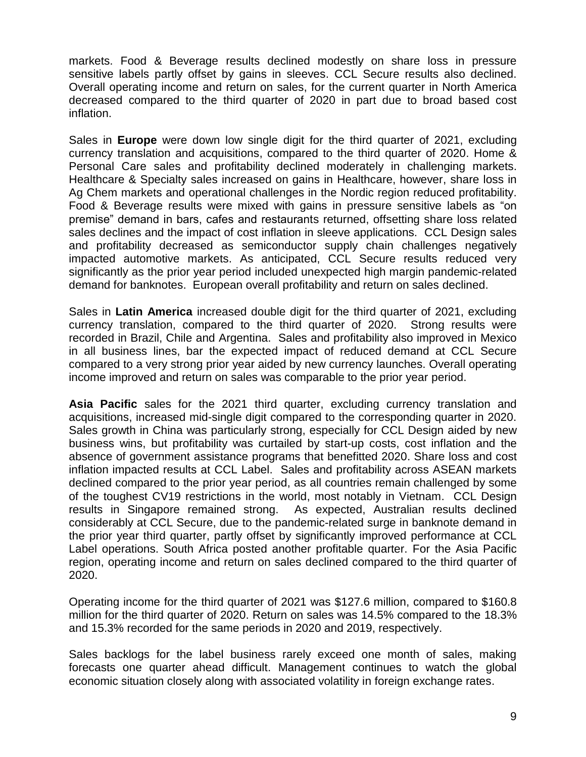markets. Food & Beverage results declined modestly on share loss in pressure sensitive labels partly offset by gains in sleeves. CCL Secure results also declined. Overall operating income and return on sales, for the current quarter in North America decreased compared to the third quarter of 2020 in part due to broad based cost inflation.

Sales in **Europe** were down low single digit for the third quarter of 2021, excluding currency translation and acquisitions, compared to the third quarter of 2020. Home & Personal Care sales and profitability declined moderately in challenging markets. Healthcare & Specialty sales increased on gains in Healthcare, however, share loss in Ag Chem markets and operational challenges in the Nordic region reduced profitability. Food & Beverage results were mixed with gains in pressure sensitive labels as "on premise" demand in bars, cafes and restaurants returned, offsetting share loss related sales declines and the impact of cost inflation in sleeve applications. CCL Design sales and profitability decreased as semiconductor supply chain challenges negatively impacted automotive markets. As anticipated, CCL Secure results reduced very significantly as the prior year period included unexpected high margin pandemic-related demand for banknotes. European overall profitability and return on sales declined.

Sales in **Latin America** increased double digit for the third quarter of 2021, excluding currency translation, compared to the third quarter of 2020. Strong results were recorded in Brazil, Chile and Argentina. Sales and profitability also improved in Mexico in all business lines, bar the expected impact of reduced demand at CCL Secure compared to a very strong prior year aided by new currency launches. Overall operating income improved and return on sales was comparable to the prior year period.

**Asia Pacific** sales for the 2021 third quarter, excluding currency translation and acquisitions, increased mid-single digit compared to the corresponding quarter in 2020. Sales growth in China was particularly strong, especially for CCL Design aided by new business wins, but profitability was curtailed by start-up costs, cost inflation and the absence of government assistance programs that benefitted 2020. Share loss and cost inflation impacted results at CCL Label. Sales and profitability across ASEAN markets declined compared to the prior year period, as all countries remain challenged by some of the toughest CV19 restrictions in the world, most notably in Vietnam. CCL Design results in Singapore remained strong. As expected, Australian results declined considerably at CCL Secure, due to the pandemic-related surge in banknote demand in the prior year third quarter, partly offset by significantly improved performance at CCL Label operations. South Africa posted another profitable quarter. For the Asia Pacific region, operating income and return on sales declined compared to the third quarter of 2020.

Operating income for the third quarter of 2021 was \$127.6 million, compared to \$160.8 million for the third quarter of 2020. Return on sales was 14.5% compared to the 18.3% and 15.3% recorded for the same periods in 2020 and 2019, respectively.

Sales backlogs for the label business rarely exceed one month of sales, making forecasts one quarter ahead difficult. Management continues to watch the global economic situation closely along with associated volatility in foreign exchange rates.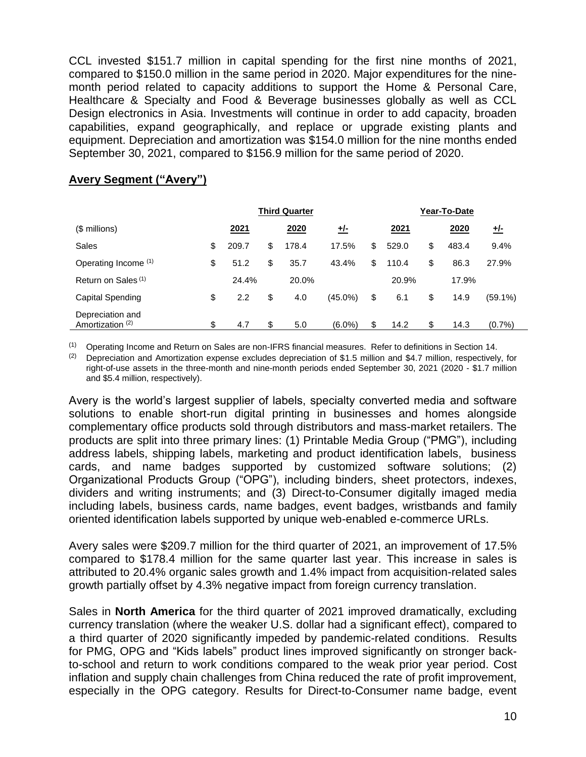CCL invested \$151.7 million in capital spending for the first nine months of 2021, compared to \$150.0 million in the same period in 2020. Major expenditures for the ninemonth period related to capacity additions to support the Home & Personal Care, Healthcare & Specialty and Food & Beverage businesses globally as well as CCL Design electronics in Asia. Investments will continue in order to add capacity, broaden capabilities, expand geographically, and replace or upgrade existing plants and equipment. Depreciation and amortization was \$154.0 million for the nine months ended September 30, 2021, compared to \$156.9 million for the same period of 2020.

|                                                 | <b>Third Quarter</b>   |    |       |            |    | Year-To-Date |    |       |            |  |  |
|-------------------------------------------------|------------------------|----|-------|------------|----|--------------|----|-------|------------|--|--|
| $$$ millions)                                   | <u>2021</u>            |    | 2020  | <u>+/-</u> |    | 2021         |    | 2020  | <u>+/-</u> |  |  |
| Sales                                           | \$<br>209.7            | \$ | 178.4 | 17.5%      | \$ | 529.0        | \$ | 483.4 | 9.4%       |  |  |
| Operating Income (1)                            | \$<br>51.2             | \$ | 35.7  | 43.4%      | \$ | 110.4        | \$ | 86.3  | 27.9%      |  |  |
| Return on Sales <sup>(1)</sup>                  | 24.4%                  |    | 20.0% |            |    | 20.9%        |    | 17.9% |            |  |  |
| Capital Spending                                | \$<br>$2.2\phantom{0}$ | \$ | 4.0   | $(45.0\%)$ | \$ | 6.1          | \$ | 14.9  | $(59.1\%)$ |  |  |
| Depreciation and<br>Amortization <sup>(2)</sup> | \$<br>4.7              | \$ | 5.0   | $(6.0\%)$  | \$ | 14.2         | \$ | 14.3  | $(0.7\%)$  |  |  |

### **Avery Segment ("Avery")**

(1) Operating Income and Return on Sales are non-IFRS financial measures. Refer to definitions in Section 14.

(2) Depreciation and Amortization expense excludes depreciation of \$1.5 million and \$4.7 million, respectively, for right-of-use assets in the three-month and nine-month periods ended September 30, 2021 (2020 - \$1.7 million and \$5.4 million, respectively).

Avery is the world's largest supplier of labels, specialty converted media and software solutions to enable short-run digital printing in businesses and homes alongside complementary office products sold through distributors and mass-market retailers. The products are split into three primary lines: (1) Printable Media Group ("PMG"), including address labels, shipping labels, marketing and product identification labels, business cards, and name badges supported by customized software solutions; (2) Organizational Products Group ("OPG"), including binders, sheet protectors, indexes, dividers and writing instruments; and (3) Direct-to-Consumer digitally imaged media including labels, business cards, name badges, event badges, wristbands and family oriented identification labels supported by unique web-enabled e-commerce URLs.

Avery sales were \$209.7 million for the third quarter of 2021, an improvement of 17.5% compared to \$178.4 million for the same quarter last year. This increase in sales is attributed to 20.4% organic sales growth and 1.4% impact from acquisition-related sales growth partially offset by 4.3% negative impact from foreign currency translation.

Sales in **North America** for the third quarter of 2021 improved dramatically, excluding currency translation (where the weaker U.S. dollar had a significant effect), compared to a third quarter of 2020 significantly impeded by pandemic-related conditions. Results for PMG, OPG and "Kids labels" product lines improved significantly on stronger backto-school and return to work conditions compared to the weak prior year period. Cost inflation and supply chain challenges from China reduced the rate of profit improvement, especially in the OPG category. Results for Direct-to-Consumer name badge, event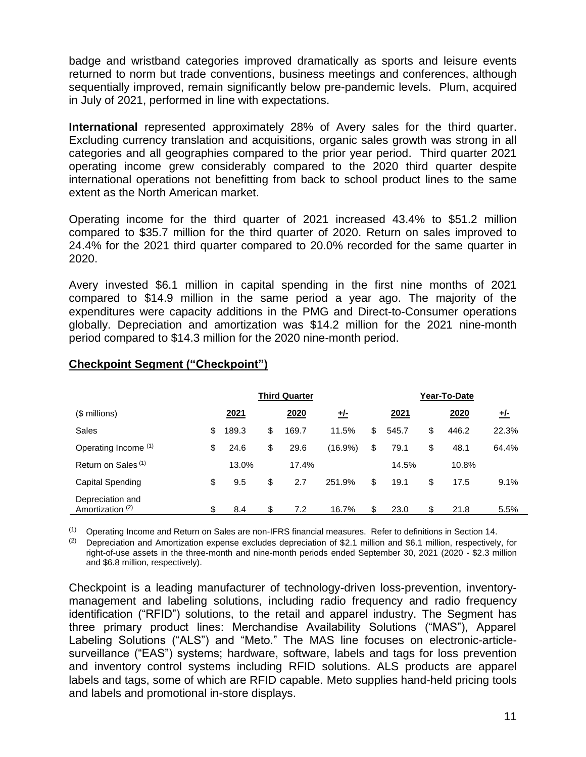badge and wristband categories improved dramatically as sports and leisure events returned to norm but trade conventions, business meetings and conferences, although sequentially improved, remain significantly below pre-pandemic levels. Plum, acquired in July of 2021, performed in line with expectations.

**International** represented approximately 28% of Avery sales for the third quarter. Excluding currency translation and acquisitions, organic sales growth was strong in all categories and all geographies compared to the prior year period. Third quarter 2021 operating income grew considerably compared to the 2020 third quarter despite international operations not benefitting from back to school product lines to the same extent as the North American market.

Operating income for the third quarter of 2021 increased 43.4% to \$51.2 million compared to \$35.7 million for the third quarter of 2020. Return on sales improved to 24.4% for the 2021 third quarter compared to 20.0% recorded for the same quarter in 2020.

Avery invested \$6.1 million in capital spending in the first nine months of 2021 compared to \$14.9 million in the same period a year ago. The majority of the expenditures were capacity additions in the PMG and Direct-to-Consumer operations globally. Depreciation and amortization was \$14.2 million for the 2021 nine-month period compared to \$14.3 million for the 2020 nine-month period.

|                                                 | <b>Third Quarter</b> |    |       |            |    | Year-To-Date |    |       |            |  |  |
|-------------------------------------------------|----------------------|----|-------|------------|----|--------------|----|-------|------------|--|--|
| $$$ millions)                                   | 2021                 |    | 2020  | <u>+/-</u> |    | <u>2021</u>  |    | 2020  | <u>+/-</u> |  |  |
| Sales                                           | \$<br>189.3          | \$ | 169.7 | 11.5%      | \$ | 545.7        | \$ | 446.2 | 22.3%      |  |  |
| Operating Income (1)                            | \$<br>24.6           | \$ | 29.6  | (16.9%)    | \$ | 79.1         | \$ | 48.1  | 64.4%      |  |  |
| Return on Sales <sup>(1)</sup>                  | 13.0%                |    | 17.4% |            |    | 14.5%        |    | 10.8% |            |  |  |
| Capital Spending                                | \$<br>9.5            | \$ | 2.7   | 251.9%     | \$ | 19.1         | \$ | 17.5  | 9.1%       |  |  |
| Depreciation and<br>Amortization <sup>(2)</sup> | \$<br>8.4            | \$ | 7.2   | 16.7%      | \$ | 23.0         | \$ | 21.8  | 5.5%       |  |  |

## **Checkpoint Segment ("Checkpoint")**

(1) Operating Income and Return on Sales are non-IFRS financial measures. Refer to definitions in Section 14.

 $(2)$  Depreciation and Amortization expense excludes depreciation of \$2.1 million and \$6.1 million, respectively, for right-of-use assets in the three-month and nine-month periods ended September 30, 2021 (2020 - \$2.3 million and \$6.8 million, respectively).

Checkpoint is a leading manufacturer of technology-driven loss-prevention, inventorymanagement and labeling solutions, including radio frequency and radio frequency identification ("RFID") solutions, to the retail and apparel industry. The Segment has three primary product lines: Merchandise Availability Solutions ("MAS"), Apparel Labeling Solutions ("ALS") and "Meto." The MAS line focuses on electronic-articlesurveillance ("EAS") systems; hardware, software, labels and tags for loss prevention and inventory control systems including RFID solutions. ALS products are apparel labels and tags, some of which are RFID capable. Meto supplies hand-held pricing tools and labels and promotional in-store displays.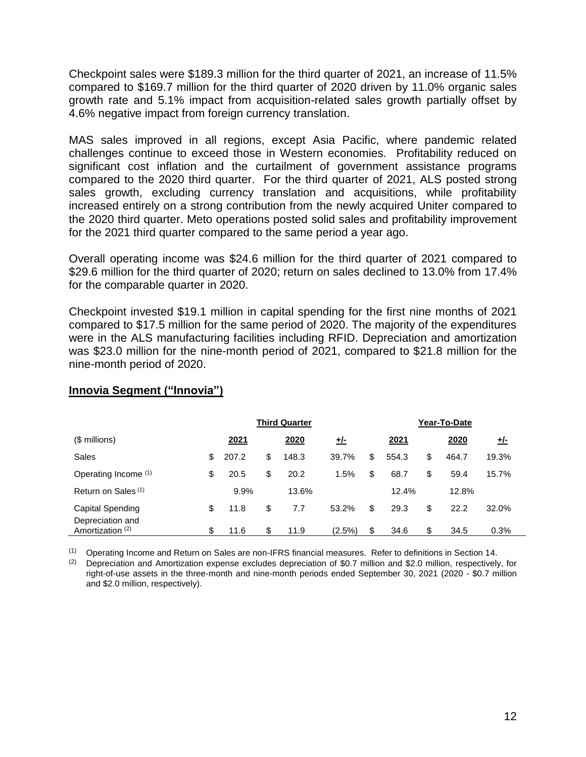Checkpoint sales were \$189.3 million for the third quarter of 2021, an increase of 11.5% compared to \$169.7 million for the third quarter of 2020 driven by 11.0% organic sales growth rate and 5.1% impact from acquisition-related sales growth partially offset by 4.6% negative impact from foreign currency translation.

MAS sales improved in all regions, except Asia Pacific, where pandemic related challenges continue to exceed those in Western economies. Profitability reduced on significant cost inflation and the curtailment of government assistance programs compared to the 2020 third quarter. For the third quarter of 2021, ALS posted strong sales growth, excluding currency translation and acquisitions, while profitability increased entirely on a strong contribution from the newly acquired Uniter compared to the 2020 third quarter. Meto operations posted solid sales and profitability improvement for the 2021 third quarter compared to the same period a year ago.

Overall operating income was \$24.6 million for the third quarter of 2021 compared to \$29.6 million for the third quarter of 2020; return on sales declined to 13.0% from 17.4% for the comparable quarter in 2020.

Checkpoint invested \$19.1 million in capital spending for the first nine months of 2021 compared to \$17.5 million for the same period of 2020. The majority of the expenditures were in the ALS manufacturing facilities including RFID. Depreciation and amortization was \$23.0 million for the nine-month period of 2021, compared to \$21.8 million for the nine-month period of 2020.

|                                      | <b>Third Quarter</b> |    |       |            |    | Year-To-Date |    |       |            |  |  |
|--------------------------------------|----------------------|----|-------|------------|----|--------------|----|-------|------------|--|--|
| (\$ millions)                        | 2021                 |    | 2020  | <u>+/-</u> |    | 2021         |    | 2020  | <u>+/-</u> |  |  |
| Sales                                | \$<br>207.2          | \$ | 148.3 | 39.7%      | \$ | 554.3        | \$ | 464.7 | 19.3%      |  |  |
| Operating Income (1)                 | \$<br>20.5           | \$ | 20.2  | 1.5%       | \$ | 68.7         | \$ | 59.4  | 15.7%      |  |  |
| Return on Sales <sup>(1)</sup>       | 9.9%                 |    | 13.6% |            |    | 12.4%        |    | 12.8% |            |  |  |
| Capital Spending<br>Depreciation and | \$<br>11.8           | \$ | 7.7   | 53.2%      | \$ | 29.3         | \$ | 22.2  | 32.0%      |  |  |
| Amortization <sup>(2)</sup>          | \$<br>11.6           | \$ | 11.9  | (2.5%)     | \$ | 34.6         | \$ | 34.5  | 0.3%       |  |  |

# **Innovia Segment ("Innovia")**

(1) Operating Income and Return on Sales are non-IFRS financial measures. Refer to definitions in Section 14.

(2) Depreciation and Amortization expense excludes depreciation of \$0.7 million and \$2.0 million, respectively, for right-of-use assets in the three-month and nine-month periods ended September 30, 2021 (2020 - \$0.7 million and \$2.0 million, respectively).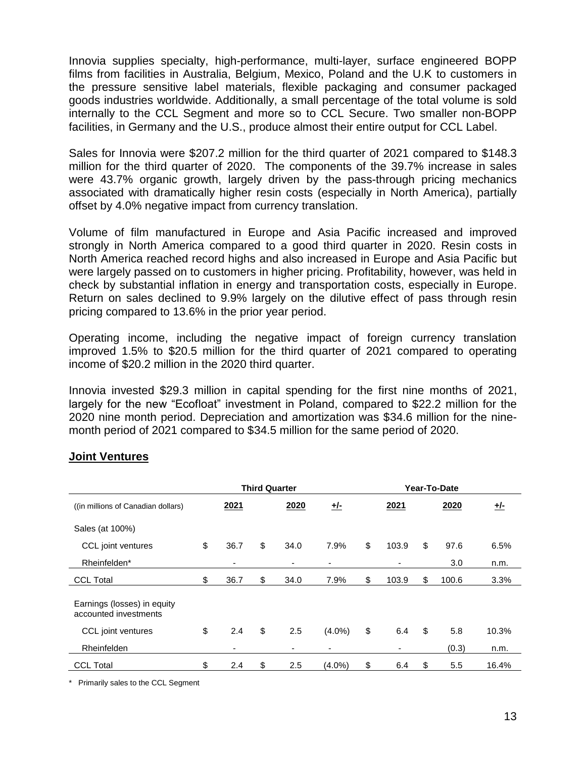Innovia supplies specialty, high-performance, multi-layer, surface engineered BOPP films from facilities in Australia, Belgium, Mexico, Poland and the U.K to customers in the pressure sensitive label materials, flexible packaging and consumer packaged goods industries worldwide. Additionally, a small percentage of the total volume is sold internally to the CCL Segment and more so to CCL Secure. Two smaller non-BOPP facilities, in Germany and the U.S., produce almost their entire output for CCL Label.

Sales for Innovia were \$207.2 million for the third quarter of 2021 compared to \$148.3 million for the third quarter of 2020. The components of the 39.7% increase in sales were 43.7% organic growth, largely driven by the pass-through pricing mechanics associated with dramatically higher resin costs (especially in North America), partially offset by 4.0% negative impact from currency translation.

Volume of film manufactured in Europe and Asia Pacific increased and improved strongly in North America compared to a good third quarter in 2020. Resin costs in North America reached record highs and also increased in Europe and Asia Pacific but were largely passed on to customers in higher pricing. Profitability, however, was held in check by substantial inflation in energy and transportation costs, especially in Europe. Return on sales declined to 9.9% largely on the dilutive effect of pass through resin pricing compared to 13.6% in the prior year period.

Operating income, including the negative impact of foreign currency translation improved 1.5% to \$20.5 million for the third quarter of 2021 compared to operating income of \$20.2 million in the 2020 third quarter.

Innovia invested \$29.3 million in capital spending for the first nine months of 2021, largely for the new "Ecofloat" investment in Poland, compared to \$22.2 million for the 2020 nine month period. Depreciation and amortization was \$34.6 million for the ninemonth period of 2021 compared to \$34.5 million for the same period of 2020.

|                                                      | <b>Third Quarter</b> |      |    |      |           |    | Year-To-Date |    |       |       |  |  |
|------------------------------------------------------|----------------------|------|----|------|-----------|----|--------------|----|-------|-------|--|--|
| ((in millions of Canadian dollars)                   |                      | 2021 |    | 2020 | 圵         |    | 2021         |    | 2020  | $+/-$ |  |  |
| Sales (at 100%)                                      |                      |      |    |      |           |    |              |    |       |       |  |  |
| CCL joint ventures                                   | \$                   | 36.7 | \$ | 34.0 | 7.9%      | \$ | 103.9        | \$ | 97.6  | 6.5%  |  |  |
| Rheinfelden*                                         |                      | ۰    |    | ٠    | -         |    | ٠            |    | 3.0   | n.m.  |  |  |
| <b>CCL Total</b>                                     | \$                   | 36.7 | \$ | 34.0 | 7.9%      | \$ | 103.9        | \$ | 100.6 | 3.3%  |  |  |
| Earnings (losses) in equity<br>accounted investments |                      |      |    |      |           |    |              |    |       |       |  |  |
| CCL joint ventures                                   | \$                   | 2.4  | \$ | 2.5  | $(4.0\%)$ | \$ | 6.4          | \$ | 5.8   | 10.3% |  |  |
| Rheinfelden                                          |                      | ٠    |    | ۰    | -         |    | ٠            |    | (0.3) | n.m.  |  |  |
| <b>CCL Total</b>                                     | \$                   | 2.4  | \$ | 2.5  | $(4.0\%)$ | \$ | 6.4          | \$ | 5.5   | 16.4% |  |  |

## **Joint Ventures**

\* Primarily sales to the CCL Segment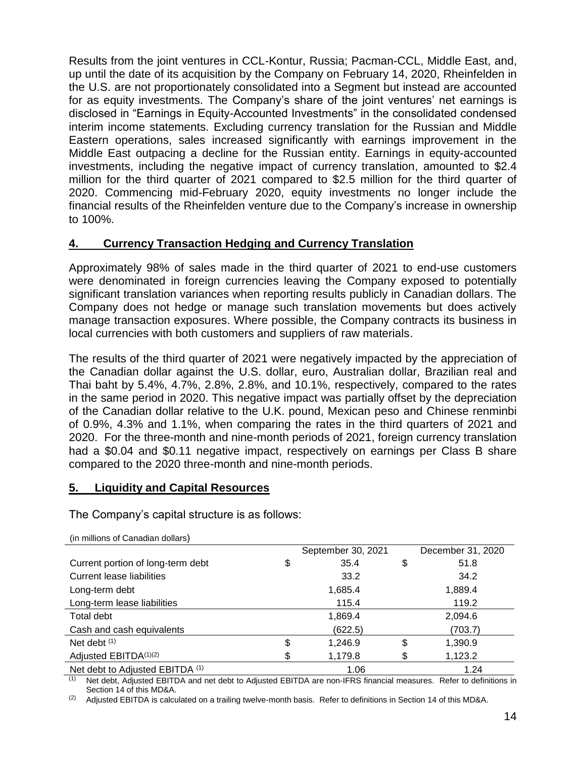Results from the joint ventures in CCL-Kontur, Russia; Pacman-CCL, Middle East, and, up until the date of its acquisition by the Company on February 14, 2020, Rheinfelden in the U.S. are not proportionately consolidated into a Segment but instead are accounted for as equity investments. The Company's share of the joint ventures' net earnings is disclosed in "Earnings in Equity-Accounted Investments" in the consolidated condensed interim income statements. Excluding currency translation for the Russian and Middle Eastern operations, sales increased significantly with earnings improvement in the Middle East outpacing a decline for the Russian entity. Earnings in equity-accounted investments, including the negative impact of currency translation, amounted to \$2.4 million for the third quarter of 2021 compared to \$2.5 million for the third quarter of 2020. Commencing mid-February 2020, equity investments no longer include the financial results of the Rheinfelden venture due to the Company's increase in ownership to 100%.

# **4. Currency Transaction Hedging and Currency Translation**

Approximately 98% of sales made in the third quarter of 2021 to end-use customers were denominated in foreign currencies leaving the Company exposed to potentially significant translation variances when reporting results publicly in Canadian dollars. The Company does not hedge or manage such translation movements but does actively manage transaction exposures. Where possible, the Company contracts its business in local currencies with both customers and suppliers of raw materials.

The results of the third quarter of 2021 were negatively impacted by the appreciation of the Canadian dollar against the U.S. dollar, euro, Australian dollar, Brazilian real and Thai baht by 5.4%, 4.7%, 2.8%, 2.8%, and 10.1%, respectively, compared to the rates in the same period in 2020. This negative impact was partially offset by the depreciation of the Canadian dollar relative to the U.K. pound, Mexican peso and Chinese renminbi of 0.9%, 4.3% and 1.1%, when comparing the rates in the third quarters of 2021 and 2020. For the three-month and nine-month periods of 2021, foreign currency translation had a \$0.04 and \$0.11 negative impact, respectively on earnings per Class B share compared to the 2020 three-month and nine-month periods.

# **5. Liquidity and Capital Resources**

The Company's capital structure is as follows:

|                                         | September 30, 2021 | December 31, 2020 |
|-----------------------------------------|--------------------|-------------------|
| \$<br>Current portion of long-term debt | 35.4<br>\$         | 51.8              |
| <b>Current lease liabilities</b>        | 33.2               | 34.2              |
| Long-term debt                          | 1,685.4            | 1,889.4           |
| Long-term lease liabilities             | 115.4              | 119.2             |
| Total debt                              | 1,869.4            | 2,094.6           |
| Cash and cash equivalents               | (622.5)            | (703.7)           |
| Net debt (1)<br>\$                      | \$<br>1,246.9      | 1,390.9           |
| Adjusted EBITDA(1)(2)<br>S.             | 1,179.8<br>\$      | 1,123.2           |
| Net debt to Adjusted EBITDA (1)         | 1.06               | 1.24              |

(in millions of Canadian dollars)

Net debt, Adjusted EBITDA and net debt to Adjusted EBITDA are non-IFRS financial measures. Refer to definitions in Section 14 of this MD&A.

(2) Adjusted EBITDA is calculated on a trailing twelve-month basis. Refer to definitions in Section 14 of this MD&A.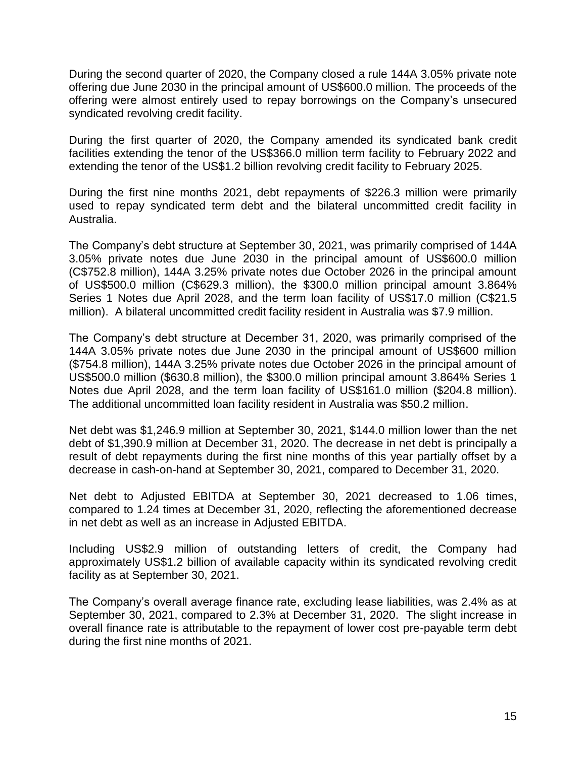During the second quarter of 2020, the Company closed a rule 144A 3.05% private note offering due June 2030 in the principal amount of US\$600.0 million. The proceeds of the offering were almost entirely used to repay borrowings on the Company's unsecured syndicated revolving credit facility.

During the first quarter of 2020, the Company amended its syndicated bank credit facilities extending the tenor of the US\$366.0 million term facility to February 2022 and extending the tenor of the US\$1.2 billion revolving credit facility to February 2025.

During the first nine months 2021, debt repayments of \$226.3 million were primarily used to repay syndicated term debt and the bilateral uncommitted credit facility in Australia.

The Company's debt structure at September 30, 2021, was primarily comprised of 144A 3.05% private notes due June 2030 in the principal amount of US\$600.0 million (C\$752.8 million), 144A 3.25% private notes due October 2026 in the principal amount of US\$500.0 million (C\$629.3 million), the \$300.0 million principal amount 3.864% Series 1 Notes due April 2028, and the term loan facility of US\$17.0 million (C\$21.5 million). A bilateral uncommitted credit facility resident in Australia was \$7.9 million.

The Company's debt structure at December 31, 2020, was primarily comprised of the 144A 3.05% private notes due June 2030 in the principal amount of US\$600 million (\$754.8 million), 144A 3.25% private notes due October 2026 in the principal amount of US\$500.0 million (\$630.8 million), the \$300.0 million principal amount 3.864% Series 1 Notes due April 2028, and the term loan facility of US\$161.0 million (\$204.8 million). The additional uncommitted loan facility resident in Australia was \$50.2 million.

Net debt was \$1,246.9 million at September 30, 2021, \$144.0 million lower than the net debt of \$1,390.9 million at December 31, 2020. The decrease in net debt is principally a result of debt repayments during the first nine months of this year partially offset by a decrease in cash-on-hand at September 30, 2021, compared to December 31, 2020.

Net debt to Adjusted EBITDA at September 30, 2021 decreased to 1.06 times, compared to 1.24 times at December 31, 2020, reflecting the aforementioned decrease in net debt as well as an increase in Adjusted EBITDA.

Including US\$2.9 million of outstanding letters of credit, the Company had approximately US\$1.2 billion of available capacity within its syndicated revolving credit facility as at September 30, 2021.

The Company's overall average finance rate, excluding lease liabilities, was 2.4% as at September 30, 2021, compared to 2.3% at December 31, 2020. The slight increase in overall finance rate is attributable to the repayment of lower cost pre-payable term debt during the first nine months of 2021.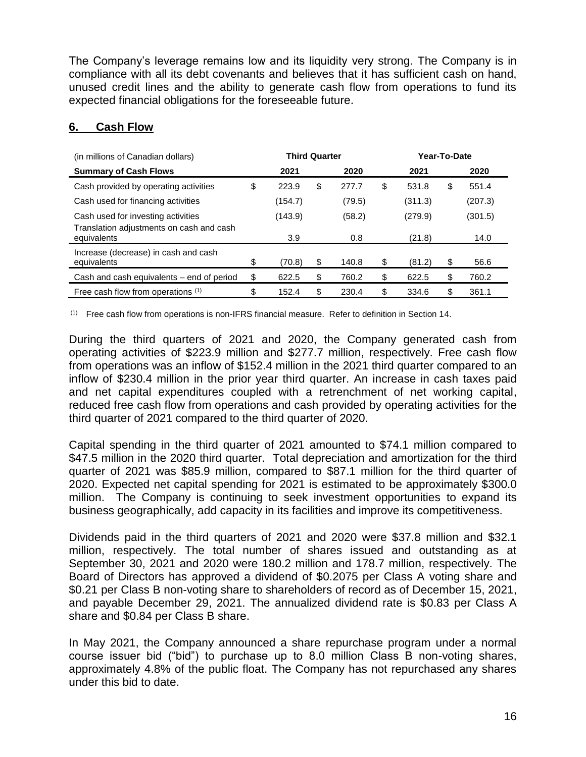The Company's leverage remains low and its liquidity very strong. The Company is in compliance with all its debt covenants and believes that it has sufficient cash on hand, unused credit lines and the ability to generate cash flow from operations to fund its expected financial obligations for the foreseeable future.

## **6. Cash Flow**

| (in millions of Canadian dollars)                       | <b>Third Quarter</b> |         |    |        |    | Year-To-Date |      |         |  |
|---------------------------------------------------------|----------------------|---------|----|--------|----|--------------|------|---------|--|
| <b>Summary of Cash Flows</b>                            |                      | 2021    |    | 2020   |    | 2021         | 2020 |         |  |
| Cash provided by operating activities                   | \$                   | 223.9   | \$ | 277.7  | \$ | 531.8        | \$   | 551.4   |  |
| Cash used for financing activities                      |                      | (154.7) |    | (79.5) |    | (311.3)      |      | (207.3) |  |
| Cash used for investing activities                      |                      | (143.9) |    | (58.2) |    | (279.9)      |      | (301.5) |  |
| Translation adjustments on cash and cash<br>equivalents |                      | 3.9     |    | 0.8    |    | (21.8)       |      | 14.0    |  |
| Increase (decrease) in cash and cash                    |                      |         |    | 140.8  |    |              |      | 56.6    |  |
| equivalents                                             | \$                   | (70.8)  | \$ |        | \$ | (81.2)       | \$   |         |  |
| Cash and cash equivalents – end of period               | \$                   | 622.5   | \$ | 760.2  | \$ | 622.5        | \$   | 760.2   |  |
| Free cash flow from operations (1)                      | \$                   | 152.4   | \$ | 230.4  | \$ | 334.6        | \$   | 361.1   |  |

(1) Free cash flow from operations is non-IFRS financial measure. Refer to definition in Section 14.

During the third quarters of 2021 and 2020, the Company generated cash from operating activities of \$223.9 million and \$277.7 million, respectively. Free cash flow from operations was an inflow of \$152.4 million in the 2021 third quarter compared to an inflow of \$230.4 million in the prior year third quarter. An increase in cash taxes paid and net capital expenditures coupled with a retrenchment of net working capital, reduced free cash flow from operations and cash provided by operating activities for the third quarter of 2021 compared to the third quarter of 2020.

Capital spending in the third quarter of 2021 amounted to \$74.1 million compared to \$47.5 million in the 2020 third quarter. Total depreciation and amortization for the third quarter of 2021 was \$85.9 million, compared to \$87.1 million for the third quarter of 2020. Expected net capital spending for 2021 is estimated to be approximately \$300.0 million. The Company is continuing to seek investment opportunities to expand its business geographically, add capacity in its facilities and improve its competitiveness.

Dividends paid in the third quarters of 2021 and 2020 were \$37.8 million and \$32.1 million, respectively. The total number of shares issued and outstanding as at September 30, 2021 and 2020 were 180.2 million and 178.7 million, respectively. The Board of Directors has approved a dividend of \$0.2075 per Class A voting share and \$0.21 per Class B non-voting share to shareholders of record as of December 15, 2021, and payable December 29, 2021. The annualized dividend rate is \$0.83 per Class A share and \$0.84 per Class B share.

In May 2021, the Company announced a share repurchase program under a normal course issuer bid ("bid") to purchase up to 8.0 million Class B non-voting shares, approximately 4.8% of the public float. The Company has not repurchased any shares under this bid to date.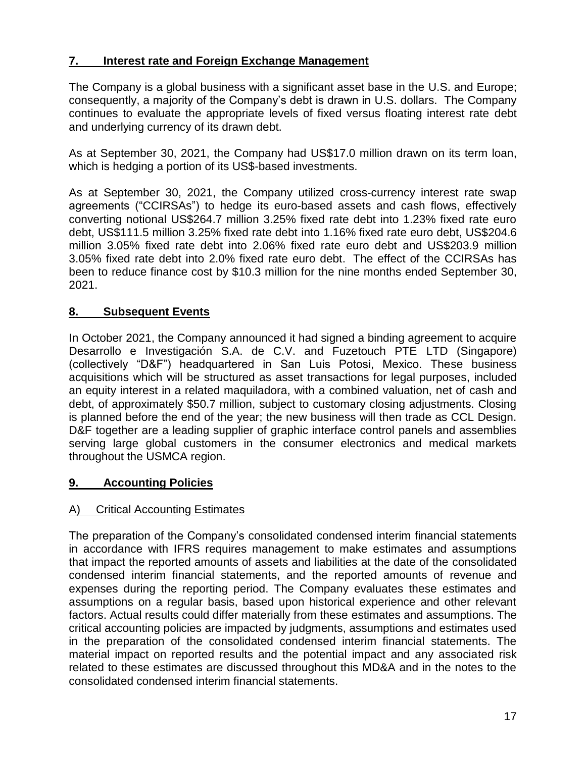# **7. Interest rate and Foreign Exchange Management**

The Company is a global business with a significant asset base in the U.S. and Europe; consequently, a majority of the Company's debt is drawn in U.S. dollars. The Company continues to evaluate the appropriate levels of fixed versus floating interest rate debt and underlying currency of its drawn debt.

As at September 30, 2021, the Company had US\$17.0 million drawn on its term loan, which is hedging a portion of its US\$-based investments.

As at September 30, 2021, the Company utilized cross-currency interest rate swap agreements ("CCIRSAs") to hedge its euro-based assets and cash flows, effectively converting notional US\$264.7 million 3.25% fixed rate debt into 1.23% fixed rate euro debt, US\$111.5 million 3.25% fixed rate debt into 1.16% fixed rate euro debt, US\$204.6 million 3.05% fixed rate debt into 2.06% fixed rate euro debt and US\$203.9 million 3.05% fixed rate debt into 2.0% fixed rate euro debt. The effect of the CCIRSAs has been to reduce finance cost by \$10.3 million for the nine months ended September 30, 2021.

# **8. Subsequent Events**

In October 2021, the Company announced it had signed a binding agreement to acquire Desarrollo e Investigación S.A. de C.V. and Fuzetouch PTE LTD (Singapore) (collectively "D&F") headquartered in San Luis Potosi, Mexico. These business acquisitions which will be structured as asset transactions for legal purposes, included an equity interest in a related maquiladora, with a combined valuation, net of cash and debt, of approximately \$50.7 million, subject to customary closing adjustments. Closing is planned before the end of the year; the new business will then trade as CCL Design. D&F together are a leading supplier of graphic interface control panels and assemblies serving large global customers in the consumer electronics and medical markets throughout the USMCA region.

# **9. Accounting Policies**

# A) Critical Accounting Estimates

The preparation of the Company's consolidated condensed interim financial statements in accordance with IFRS requires management to make estimates and assumptions that impact the reported amounts of assets and liabilities at the date of the consolidated condensed interim financial statements, and the reported amounts of revenue and expenses during the reporting period. The Company evaluates these estimates and assumptions on a regular basis, based upon historical experience and other relevant factors. Actual results could differ materially from these estimates and assumptions. The critical accounting policies are impacted by judgments, assumptions and estimates used in the preparation of the consolidated condensed interim financial statements. The material impact on reported results and the potential impact and any associated risk related to these estimates are discussed throughout this MD&A and in the notes to the consolidated condensed interim financial statements.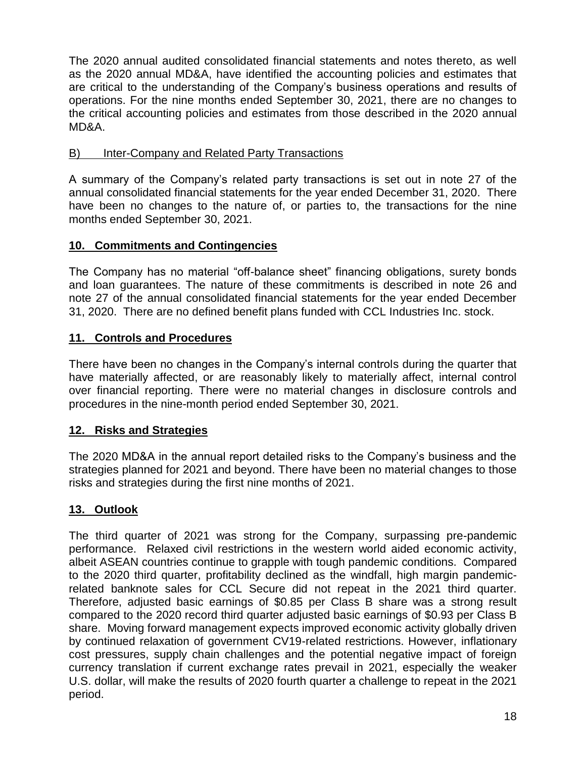The 2020 annual audited consolidated financial statements and notes thereto, as well as the 2020 annual MD&A, have identified the accounting policies and estimates that are critical to the understanding of the Company's business operations and results of operations. For the nine months ended September 30, 2021, there are no changes to the critical accounting policies and estimates from those described in the 2020 annual MD&A.

# B) Inter-Company and Related Party Transactions

A summary of the Company's related party transactions is set out in note 27 of the annual consolidated financial statements for the year ended December 31, 2020. There have been no changes to the nature of, or parties to, the transactions for the nine months ended September 30, 2021.

# **10. Commitments and Contingencies**

The Company has no material "off-balance sheet" financing obligations, surety bonds and loan guarantees. The nature of these commitments is described in note 26 and note 27 of the annual consolidated financial statements for the year ended December 31, 2020. There are no defined benefit plans funded with CCL Industries Inc. stock.

# **11. Controls and Procedures**

There have been no changes in the Company's internal controls during the quarter that have materially affected, or are reasonably likely to materially affect, internal control over financial reporting. There were no material changes in disclosure controls and procedures in the nine-month period ended September 30, 2021.

# **12. Risks and Strategies**

The 2020 MD&A in the annual report detailed risks to the Company's business and the strategies planned for 2021 and beyond. There have been no material changes to those risks and strategies during the first nine months of 2021.

# **13. Outlook**

The third quarter of 2021 was strong for the Company, surpassing pre-pandemic performance. Relaxed civil restrictions in the western world aided economic activity, albeit ASEAN countries continue to grapple with tough pandemic conditions. Compared to the 2020 third quarter, profitability declined as the windfall, high margin pandemicrelated banknote sales for CCL Secure did not repeat in the 2021 third quarter. Therefore, adjusted basic earnings of \$0.85 per Class B share was a strong result compared to the 2020 record third quarter adjusted basic earnings of \$0.93 per Class B share. Moving forward management expects improved economic activity globally driven by continued relaxation of government CV19-related restrictions. However, inflationary cost pressures, supply chain challenges and the potential negative impact of foreign currency translation if current exchange rates prevail in 2021, especially the weaker U.S. dollar, will make the results of 2020 fourth quarter a challenge to repeat in the 2021 period.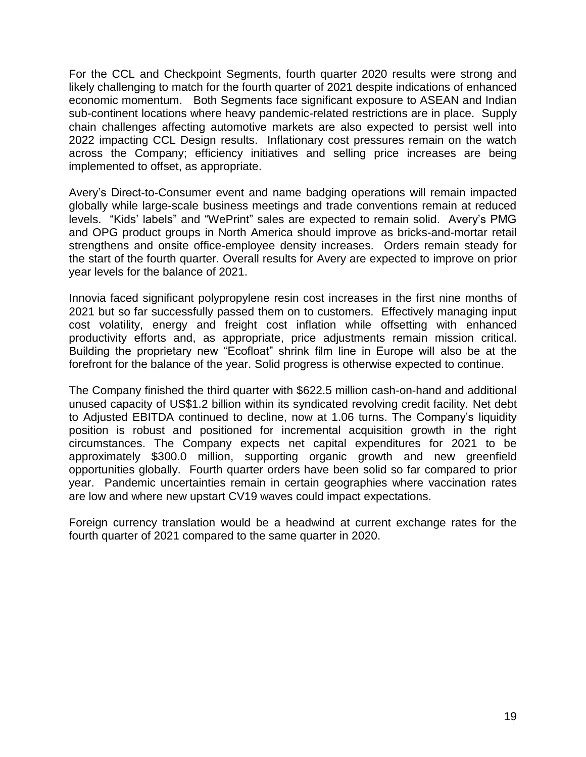For the CCL and Checkpoint Segments, fourth quarter 2020 results were strong and likely challenging to match for the fourth quarter of 2021 despite indications of enhanced economic momentum. Both Segments face significant exposure to ASEAN and Indian sub-continent locations where heavy pandemic-related restrictions are in place. Supply chain challenges affecting automotive markets are also expected to persist well into 2022 impacting CCL Design results. Inflationary cost pressures remain on the watch across the Company; efficiency initiatives and selling price increases are being implemented to offset, as appropriate.

Avery's Direct-to-Consumer event and name badging operations will remain impacted globally while large-scale business meetings and trade conventions remain at reduced levels. "Kids' labels" and "WePrint" sales are expected to remain solid. Avery's PMG and OPG product groups in North America should improve as bricks-and-mortar retail strengthens and onsite office-employee density increases. Orders remain steady for the start of the fourth quarter. Overall results for Avery are expected to improve on prior year levels for the balance of 2021.

Innovia faced significant polypropylene resin cost increases in the first nine months of 2021 but so far successfully passed them on to customers. Effectively managing input cost volatility, energy and freight cost inflation while offsetting with enhanced productivity efforts and, as appropriate, price adjustments remain mission critical. Building the proprietary new "Ecofloat" shrink film line in Europe will also be at the forefront for the balance of the year. Solid progress is otherwise expected to continue.

The Company finished the third quarter with \$622.5 million cash-on-hand and additional unused capacity of US\$1.2 billion within its syndicated revolving credit facility. Net debt to Adjusted EBITDA continued to decline, now at 1.06 turns. The Company's liquidity position is robust and positioned for incremental acquisition growth in the right circumstances. The Company expects net capital expenditures for 2021 to be approximately \$300.0 million, supporting organic growth and new greenfield opportunities globally. Fourth quarter orders have been solid so far compared to prior year. Pandemic uncertainties remain in certain geographies where vaccination rates are low and where new upstart CV19 waves could impact expectations.

Foreign currency translation would be a headwind at current exchange rates for the fourth quarter of 2021 compared to the same quarter in 2020.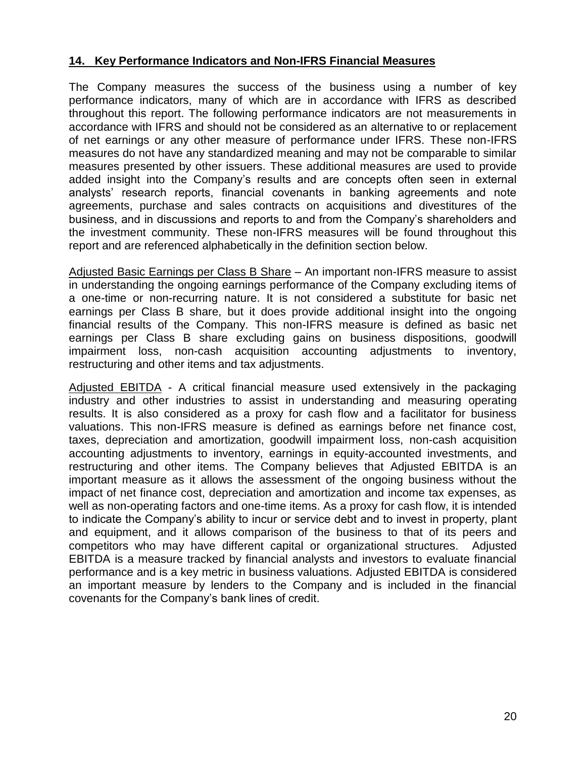## **14. Key Performance Indicators and Non-IFRS Financial Measures**

The Company measures the success of the business using a number of key performance indicators, many of which are in accordance with IFRS as described throughout this report. The following performance indicators are not measurements in accordance with IFRS and should not be considered as an alternative to or replacement of net earnings or any other measure of performance under IFRS. These non-IFRS measures do not have any standardized meaning and may not be comparable to similar measures presented by other issuers. These additional measures are used to provide added insight into the Company's results and are concepts often seen in external analysts' research reports, financial covenants in banking agreements and note agreements, purchase and sales contracts on acquisitions and divestitures of the business, and in discussions and reports to and from the Company's shareholders and the investment community. These non-IFRS measures will be found throughout this report and are referenced alphabetically in the definition section below.

Adjusted Basic Earnings per Class B Share – An important non-IFRS measure to assist in understanding the ongoing earnings performance of the Company excluding items of a one-time or non-recurring nature. It is not considered a substitute for basic net earnings per Class B share, but it does provide additional insight into the ongoing financial results of the Company. This non-IFRS measure is defined as basic net earnings per Class B share excluding gains on business dispositions, goodwill impairment loss, non-cash acquisition accounting adjustments to inventory, restructuring and other items and tax adjustments.

Adjusted EBITDA - A critical financial measure used extensively in the packaging industry and other industries to assist in understanding and measuring operating results. It is also considered as a proxy for cash flow and a facilitator for business valuations. This non-IFRS measure is defined as earnings before net finance cost, taxes, depreciation and amortization, goodwill impairment loss, non-cash acquisition accounting adjustments to inventory, earnings in equity-accounted investments, and restructuring and other items. The Company believes that Adjusted EBITDA is an important measure as it allows the assessment of the ongoing business without the impact of net finance cost, depreciation and amortization and income tax expenses, as well as non-operating factors and one-time items. As a proxy for cash flow, it is intended to indicate the Company's ability to incur or service debt and to invest in property, plant and equipment, and it allows comparison of the business to that of its peers and competitors who may have different capital or organizational structures. Adjusted EBITDA is a measure tracked by financial analysts and investors to evaluate financial performance and is a key metric in business valuations. Adjusted EBITDA is considered an important measure by lenders to the Company and is included in the financial covenants for the Company's bank lines of credit.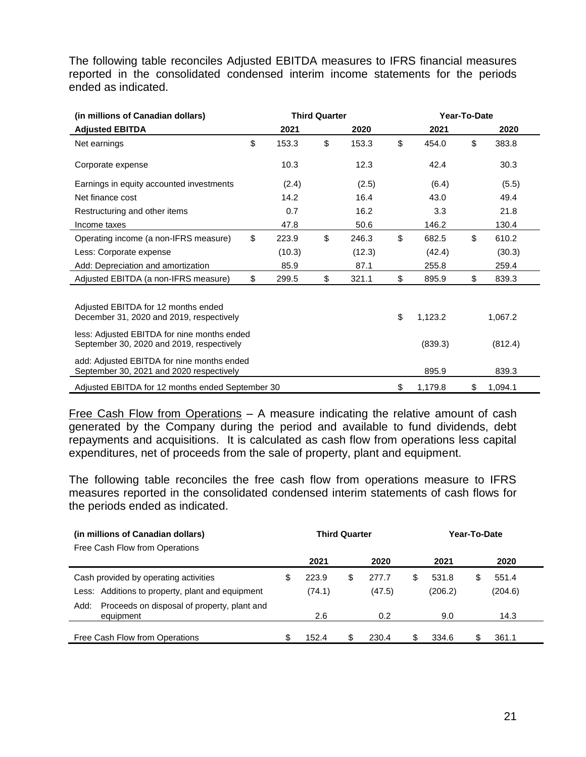The following table reconciles Adjusted EBITDA measures to IFRS financial measures reported in the consolidated condensed interim income statements for the periods ended as indicated.

| (in millions of Canadian dollars)                                                        |             | <b>Third Quarter</b> |        | Year-To-Date |         |    |         |  |
|------------------------------------------------------------------------------------------|-------------|----------------------|--------|--------------|---------|----|---------|--|
| <b>Adjusted EBITDA</b>                                                                   | 2021        |                      | 2020   |              | 2021    |    | 2020    |  |
| Net earnings                                                                             | \$<br>153.3 | \$                   | 153.3  | \$           | 454.0   | \$ | 383.8   |  |
| Corporate expense                                                                        | 10.3        |                      | 12.3   |              | 42.4    |    | 30.3    |  |
| Earnings in equity accounted investments                                                 | (2.4)       |                      | (2.5)  |              | (6.4)   |    | (5.5)   |  |
| Net finance cost                                                                         | 14.2        |                      | 16.4   |              | 43.0    |    | 49.4    |  |
| Restructuring and other items                                                            | 0.7         |                      | 16.2   |              | 3.3     |    | 21.8    |  |
| Income taxes                                                                             | 47.8        |                      | 50.6   |              | 146.2   |    | 130.4   |  |
| Operating income (a non-IFRS measure)                                                    | \$<br>223.9 | \$                   | 246.3  | \$           | 682.5   | \$ | 610.2   |  |
| Less: Corporate expense                                                                  | (10.3)      |                      | (12.3) |              | (42.4)  |    | (30.3)  |  |
| Add: Depreciation and amortization                                                       | 85.9        |                      | 87.1   |              | 255.8   |    | 259.4   |  |
| Adjusted EBITDA (a non-IFRS measure)                                                     | \$<br>299.5 | \$                   | 321.1  | \$           | 895.9   | \$ | 839.3   |  |
| Adjusted EBITDA for 12 months ended<br>December 31, 2020 and 2019, respectively          |             |                      |        | \$           | 1,123.2 |    | 1,067.2 |  |
| less: Adjusted EBITDA for nine months ended<br>September 30, 2020 and 2019, respectively |             |                      |        |              | (839.3) |    | (812.4) |  |
| add: Adjusted EBITDA for nine months ended<br>September 30, 2021 and 2020 respectively   |             |                      |        |              | 895.9   |    | 839.3   |  |
| Adjusted EBITDA for 12 months ended September 30                                         |             |                      |        | \$           | 1,179.8 | \$ | 1,094.1 |  |

Free Cash Flow from Operations – A measure indicating the relative amount of cash generated by the Company during the period and available to fund dividends, debt repayments and acquisitions. It is calculated as cash flow from operations less capital expenditures, net of proceeds from the sale of property, plant and equipment.

The following table reconciles the free cash flow from operations measure to IFRS measures reported in the consolidated condensed interim statements of cash flows for the periods ended as indicated.

| (in millions of Canadian dollars)<br>Free Cash Flow from Operations | <b>Third Quarter</b> |        |    |        |    | Year-To-Date |    |         |  |
|---------------------------------------------------------------------|----------------------|--------|----|--------|----|--------------|----|---------|--|
|                                                                     |                      | 2021   |    | 2020   |    | 2021         |    | 2020    |  |
| Cash provided by operating activities                               | \$                   | 223.9  | \$ | 277.7  | \$ | 531.8        | \$ | 551.4   |  |
| Less: Additions to property, plant and equipment                    |                      | (74.1) |    | (47.5) |    | (206.2)      |    | (204.6) |  |
| Proceeds on disposal of property, plant and<br>Add:<br>equipment    |                      | 2.6    |    | 0.2    |    | 9.0          |    | 14.3    |  |
| Free Cash Flow from Operations                                      | \$                   | 152.4  | \$ | 230.4  | \$ | 334.6        | S  | 361.1   |  |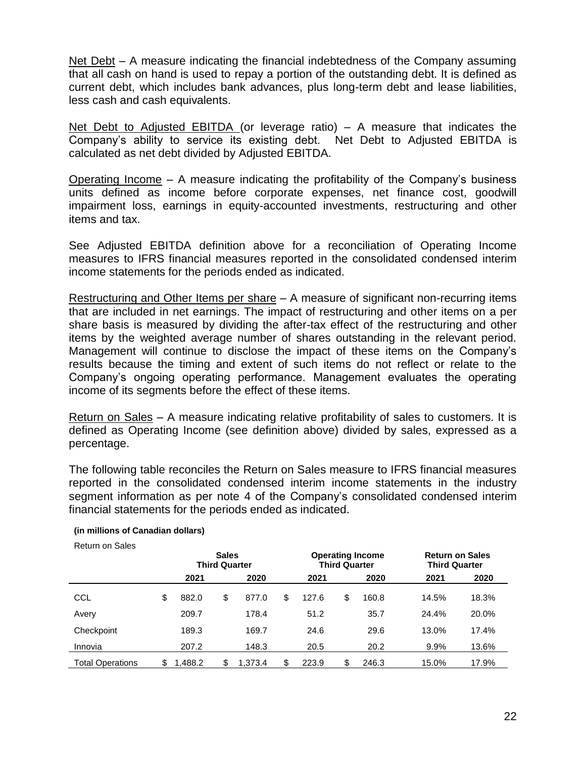Net Debt – A measure indicating the financial indebtedness of the Company assuming that all cash on hand is used to repay a portion of the outstanding debt. It is defined as current debt, which includes bank advances, plus long-term debt and lease liabilities, less cash and cash equivalents.

Net Debt to Adjusted EBITDA (or leverage ratio) – A measure that indicates the Company's ability to service its existing debt. Net Debt to Adjusted EBITDA is calculated as net debt divided by Adjusted EBITDA.

Operating Income – A measure indicating the profitability of the Company's business units defined as income before corporate expenses, net finance cost, goodwill impairment loss, earnings in equity-accounted investments, restructuring and other items and tax.

See Adjusted EBITDA definition above for a reconciliation of Operating Income measures to IFRS financial measures reported in the consolidated condensed interim income statements for the periods ended as indicated.

Restructuring and Other Items per share – A measure of significant non-recurring items that are included in net earnings. The impact of restructuring and other items on a per share basis is measured by dividing the after-tax effect of the restructuring and other items by the weighted average number of shares outstanding in the relevant period. Management will continue to disclose the impact of these items on the Company's results because the timing and extent of such items do not reflect or relate to the Company's ongoing operating performance. Management evaluates the operating income of its segments before the effect of these items.

Return on Sales – A measure indicating relative profitability of sales to customers. It is defined as Operating Income (see definition above) divided by sales, expressed as a percentage.

The following table reconciles the Return on Sales measure to IFRS financial measures reported in the consolidated condensed interim income statements in the industry segment information as per note 4 of the Company's consolidated condensed interim financial statements for the periods ended as indicated.

|                         | <b>Sales</b><br><b>Third Quarter</b> |        |    |         | <b>Third Quarter</b> | <b>Operating Income</b> | <b>Return on Sales</b><br><b>Third Quarter</b> |       |       |
|-------------------------|--------------------------------------|--------|----|---------|----------------------|-------------------------|------------------------------------------------|-------|-------|
|                         |                                      | 2021   |    | 2020    | 2021                 |                         | 2020                                           | 2021  | 2020  |
| CCL                     | \$                                   | 882.0  | \$ | 877.0   | \$<br>127.6          | \$                      | 160.8                                          | 14.5% | 18.3% |
| Avery                   |                                      | 209.7  |    | 178.4   | 51.2                 |                         | 35.7                                           | 24.4% | 20.0% |
| Checkpoint              |                                      | 189.3  |    | 169.7   | 24.6                 |                         | 29.6                                           | 13.0% | 17.4% |
| Innovia                 |                                      | 207.2  |    | 148.3   | 20.5                 |                         | 20.2                                           | 9.9%  | 13.6% |
| <b>Total Operations</b> | \$                                   | .488.2 |    | 1.373.4 | \$<br>223.9          |                         | 246.3                                          | 15.0% | 17.9% |

### **(in millions of Canadian dollars)**

Return on Sales